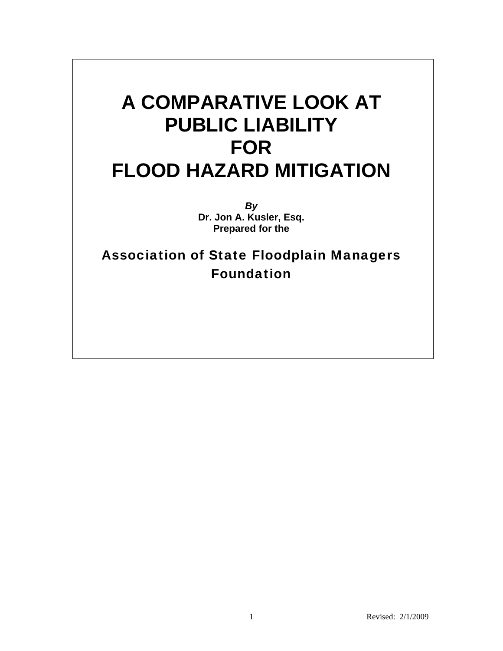# **A COMPARATIVE LOOK AT PUBLIC LIABILITY FOR FLOOD HAZARD MITIGATION**

*By*  **Dr. Jon A. Kusler, Esq. Prepared for the** 

Association of State Floodplain Managers Foundation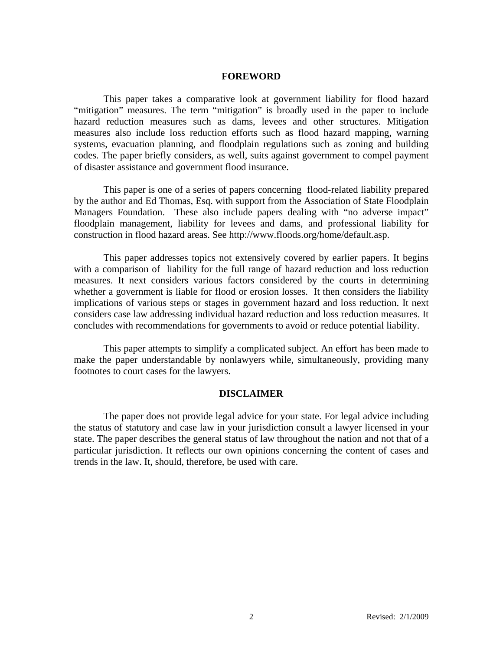#### **FOREWORD**

This paper takes a comparative look at government liability for flood hazard "mitigation" measures. The term "mitigation" is broadly used in the paper to include hazard reduction measures such as dams, levees and other structures. Mitigation measures also include loss reduction efforts such as flood hazard mapping, warning systems, evacuation planning, and floodplain regulations such as zoning and building codes. The paper briefly considers, as well, suits against government to compel payment of disaster assistance and government flood insurance.

This paper is one of a series of papers concerning flood-related liability prepared by the author and Ed Thomas, Esq. with support from the Association of State Floodplain Managers Foundation. These also include papers dealing with "no adverse impact" floodplain management, liability for levees and dams, and professional liability for construction in flood hazard areas. See http://www.floods.org/home/default.asp.

This paper addresses topics not extensively covered by earlier papers. It begins with a comparison of liability for the full range of hazard reduction and loss reduction measures. It next considers various factors considered by the courts in determining whether a government is liable for flood or erosion losses. It then considers the liability implications of various steps or stages in government hazard and loss reduction. It next considers case law addressing individual hazard reduction and loss reduction measures. It concludes with recommendations for governments to avoid or reduce potential liability.

This paper attempts to simplify a complicated subject. An effort has been made to make the paper understandable by nonlawyers while, simultaneously, providing many footnotes to court cases for the lawyers.

#### **DISCLAIMER**

The paper does not provide legal advice for your state. For legal advice including the status of statutory and case law in your jurisdiction consult a lawyer licensed in your state. The paper describes the general status of law throughout the nation and not that of a particular jurisdiction. It reflects our own opinions concerning the content of cases and trends in the law. It, should, therefore, be used with care.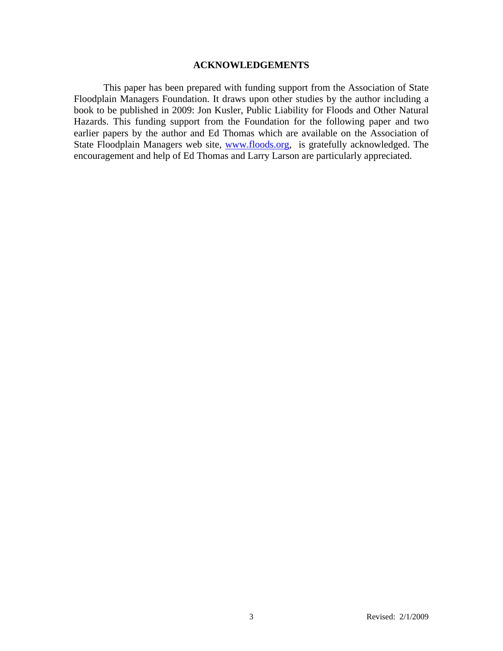## **ACKNOWLEDGEMENTS**

This paper has been prepared with funding support from the Association of State Floodplain Managers Foundation. It draws upon other studies by the author including a book to be published in 2009: Jon Kusler, Public Liability for Floods and Other Natural Hazards. This funding support from the Foundation for the following paper and two earlier papers by the author and Ed Thomas which are available on the Association of State Floodplain Managers web site, **www.floods.org**, is gratefully acknowledged. The encouragement and help of Ed Thomas and Larry Larson are particularly appreciated.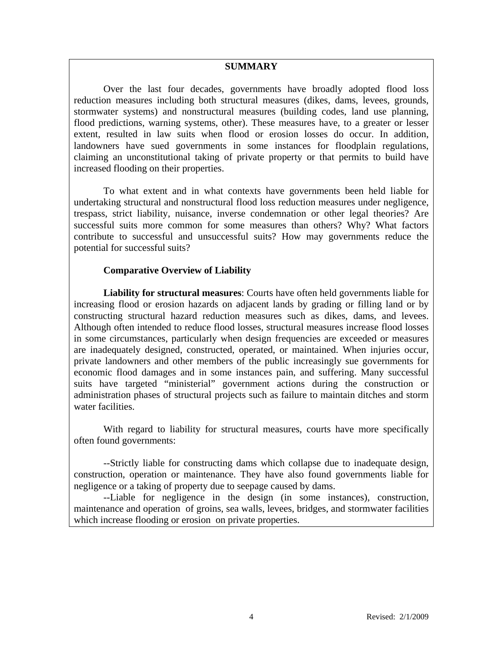## **SUMMARY**

Over the last four decades, governments have broadly adopted flood loss reduction measures including both structural measures (dikes, dams, levees, grounds, stormwater systems) and nonstructural measures (building codes, land use planning, flood predictions, warning systems, other). These measures have, to a greater or lesser extent, resulted in law suits when flood or erosion losses do occur. In addition, landowners have sued governments in some instances for floodplain regulations, claiming an unconstitutional taking of private property or that permits to build have increased flooding on their properties.

To what extent and in what contexts have governments been held liable for undertaking structural and nonstructural flood loss reduction measures under negligence, trespass, strict liability, nuisance, inverse condemnation or other legal theories? Are successful suits more common for some measures than others? Why? What factors contribute to successful and unsuccessful suits? How may governments reduce the potential for successful suits?

## **Comparative Overview of Liability**

**Liability for structural measures**: Courts have often held governments liable for increasing flood or erosion hazards on adjacent lands by grading or filling land or by constructing structural hazard reduction measures such as dikes, dams, and levees. Although often intended to reduce flood losses, structural measures increase flood losses in some circumstances, particularly when design frequencies are exceeded or measures are inadequately designed, constructed, operated, or maintained. When injuries occur, private landowners and other members of the public increasingly sue governments for economic flood damages and in some instances pain, and suffering. Many successful suits have targeted "ministerial" government actions during the construction or administration phases of structural projects such as failure to maintain ditches and storm water facilities.

With regard to liability for structural measures, courts have more specifically often found governments:

--Strictly liable for constructing dams which collapse due to inadequate design, construction, operation or maintenance. They have also found governments liable for negligence or a taking of property due to seepage caused by dams.

--Liable for negligence in the design (in some instances), construction, maintenance and operation of groins, sea walls, levees, bridges, and stormwater facilities which increase flooding or erosion on private properties.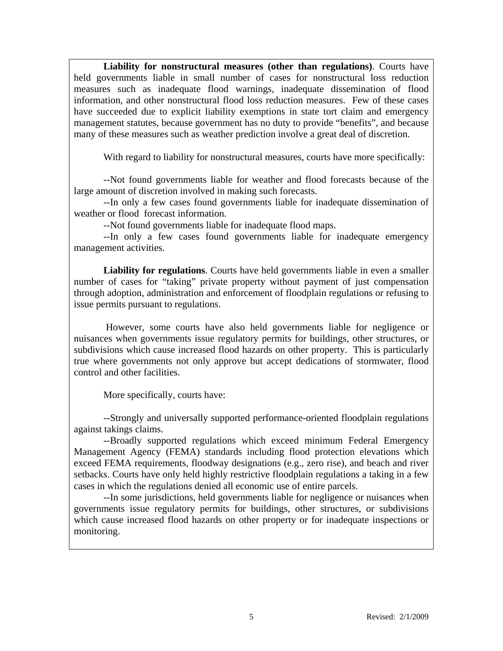**Liability for nonstructural measures (other than regulations)**. Courts have held governments liable in small number of cases for nonstructural loss reduction measures such as inadequate flood warnings, inadequate dissemination of flood information, and other nonstructural flood loss reduction measures. Few of these cases have succeeded due to explicit liability exemptions in state tort claim and emergency management statutes, because government has no duty to provide "benefits", and because many of these measures such as weather prediction involve a great deal of discretion.

With regard to liability for nonstructural measures, courts have more specifically:

--Not found governments liable for weather and flood forecasts because of the large amount of discretion involved in making such forecasts.

--In only a few cases found governments liable for inadequate dissemination of weather or flood forecast information.

--Not found governments liable for inadequate flood maps.

--In only a few cases found governments liable for inadequate emergency management activities.

**Liability for regulations**. Courts have held governments liable in even a smaller number of cases for "taking" private property without payment of just compensation through adoption, administration and enforcement of floodplain regulations or refusing to issue permits pursuant to regulations.

 However, some courts have also held governments liable for negligence or nuisances when governments issue regulatory permits for buildings, other structures, or subdivisions which cause increased flood hazards on other property. This is particularly true where governments not only approve but accept dedications of stormwater, flood control and other facilities.

More specifically, courts have:

--Strongly and universally supported performance-oriented floodplain regulations against takings claims.

--Broadly supported regulations which exceed minimum Federal Emergency Management Agency (FEMA) standards including flood protection elevations which exceed FEMA requirements, floodway designations (e.g., zero rise), and beach and river setbacks. Courts have only held highly restrictive floodplain regulations a taking in a few cases in which the regulations denied all economic use of entire parcels.

--In some jurisdictions, held governments liable for negligence or nuisances when governments issue regulatory permits for buildings, other structures, or subdivisions which cause increased flood hazards on other property or for inadequate inspections or monitoring.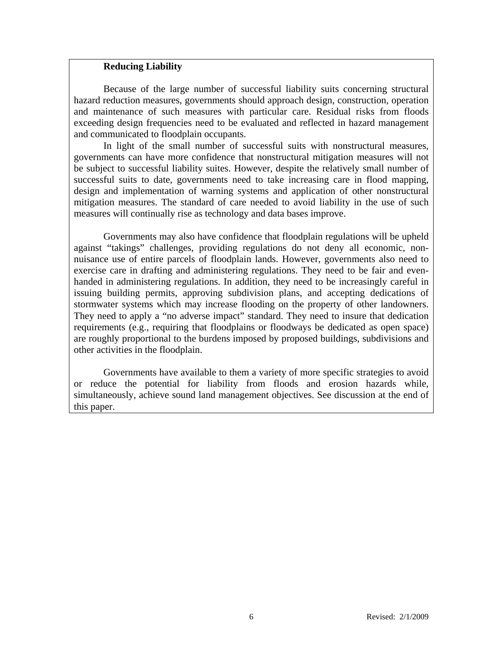## **Reducing Liability**

Because of the large number of successful liability suits concerning structural hazard reduction measures, governments should approach design, construction, operation and maintenance of such measures with particular care. Residual risks from floods exceeding design frequencies need to be evaluated and reflected in hazard management and communicated to floodplain occupants.

In light of the small number of successful suits with nonstructural measures, governments can have more confidence that nonstructural mitigation measures will not be subject to successful liability suites. However, despite the relatively small number of successful suits to date, governments need to take increasing care in flood mapping, design and implementation of warning systems and application of other nonstructural mitigation measures. The standard of care needed to avoid liability in the use of such measures will continually rise as technology and data bases improve.

Governments may also have confidence that floodplain regulations will be upheld against "takings" challenges, providing regulations do not deny all economic, nonnuisance use of entire parcels of floodplain lands. However, governments also need to exercise care in drafting and administering regulations. They need to be fair and evenhanded in administering regulations. In addition, they need to be increasingly careful in issuing building permits, approving subdivision plans, and accepting dedications of stormwater systems which may increase flooding on the property of other landowners. They need to apply a "no adverse impact" standard. They need to insure that dedication requirements (e.g., requiring that floodplains or floodways be dedicated as open space) are roughly proportional to the burdens imposed by proposed buildings, subdivisions and other activities in the floodplain.

Governments have available to them a variety of more specific strategies to avoid or reduce the potential for liability from floods and erosion hazards while, simultaneously, achieve sound land management objectives. See discussion at the end of this paper.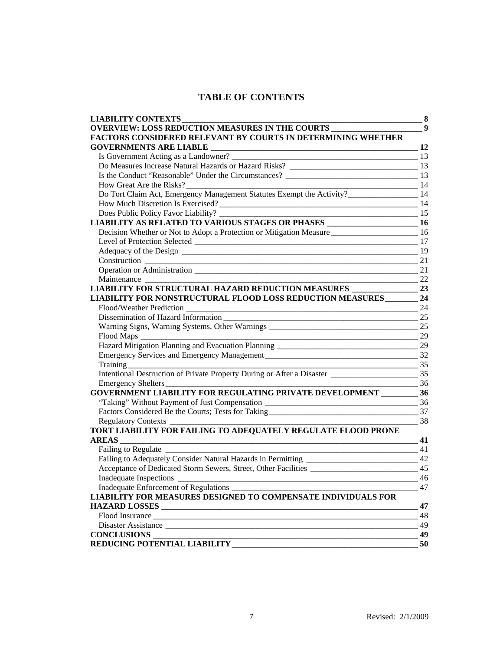# **TABLE OF CONTENTS**

| <b>LIABILITY CONTEXTS</b>                                                                                             | 8                |
|-----------------------------------------------------------------------------------------------------------------------|------------------|
| <b>OVERVIEW: LOSS REDUCTION MEASURES IN THE COURTS</b>                                                                | $\boldsymbol{9}$ |
| <b>FACTORS CONSIDERED RELEVANT BY COURTS IN DETERMINING WHETHER</b>                                                   |                  |
|                                                                                                                       | 12               |
|                                                                                                                       |                  |
|                                                                                                                       |                  |
|                                                                                                                       |                  |
| How Great Are the Risks?                                                                                              | 14               |
| Do Tort Claim Act, Emergency Management Statutes Exempt the Activity?<br>24.14                                        |                  |
| How Much Discretion Is Exercised?                                                                                     |                  |
| Does Public Policy Favor Liability? _________<br>$\frac{15}{2}$                                                       |                  |
| LIABILITY AS RELATED TO VARIOUS STAGES OR PHASES ________________________________ 16                                  |                  |
| Decision Whether or Not to Adopt a Protection or Mitigation Measure 16                                                |                  |
|                                                                                                                       | -17              |
|                                                                                                                       |                  |
|                                                                                                                       | 21               |
|                                                                                                                       | 21               |
| $\sim$ 22                                                                                                             |                  |
|                                                                                                                       |                  |
| LIABILITY FOR NONSTRUCTURAL FLOOD LOSS REDUCTION MEASURES 24                                                          |                  |
| Flood/Weather Prediction                                                                                              | 24               |
| Dissemination of Hazard Information                                                                                   | 25               |
| Warning Signs, Warning Systems, Other Warnings __________________________________                                     | 25               |
| <u> 1980 - Johann Barbara, martxa alemaniar amerikan basar da da a shekara a shekara a shekara a shekara a shekar</u> | 29               |
|                                                                                                                       |                  |
|                                                                                                                       |                  |
| 35                                                                                                                    |                  |
|                                                                                                                       |                  |
| 36<br>Emergency Shelters                                                                                              |                  |
| <b>GOVERNMENT LIABILITY FOR REGULATING PRIVATE DEVELOPMENT 36</b>                                                     |                  |
| "Taking" Without Payment of Just Compensation __________________________________                                      | 36               |
| Factors Considered Be the Courts; Tests for Taking                                                                    | 37               |
|                                                                                                                       | 38               |
| TORT LIABILITY FOR FAILING TO ADEQUATELY REGULATE FLOOD PRONE                                                         |                  |
| AREAS<br>$\sim$ 41                                                                                                    |                  |
| <b>Failing to Regulate</b>                                                                                            | -41              |
|                                                                                                                       |                  |
| Acceptance of Dedicated Storm Sewers, Street, Other Facilities                                                        | 45               |
| <b>Inadequate Inspections</b>                                                                                         | 46               |
| Inadequate Enforcement of Regulations _                                                                               | 47               |
| <b>LIABILITY FOR MEASURES DESIGNED TO COMPENSATE INDIVIDUALS FOR</b>                                                  |                  |
|                                                                                                                       | 47               |
|                                                                                                                       | 48               |
| Disaster Assistance                                                                                                   | 49               |
| <b>CONCLUSIONS</b>                                                                                                    | 49               |
| REDUCING POTENTIAL LIABILITY                                                                                          | 50               |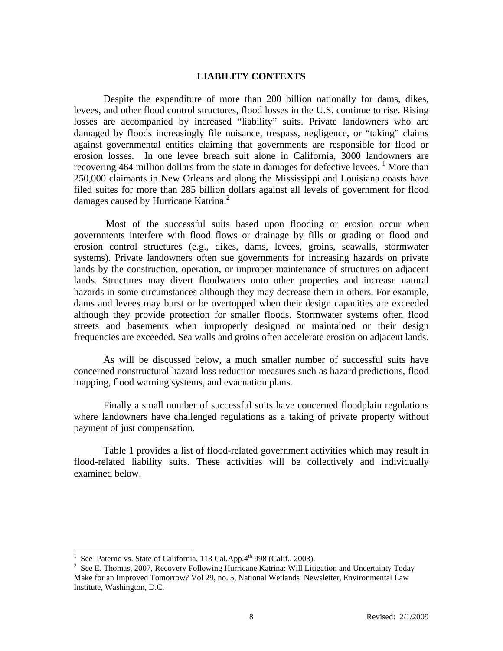#### **LIABILITY CONTEXTS**

Despite the expenditure of more than 200 billion nationally for dams, dikes, levees, and other flood control structures, flood losses in the U.S. continue to rise. Rising losses are accompanied by increased "liability" suits. Private landowners who are damaged by floods increasingly file nuisance, trespass, negligence, or "taking" claims against governmental entities claiming that governments are responsible for flood or erosion losses. In one levee breach suit alone in California, 3000 landowners are recovering 464 million dollars from the state in damages for defective levees.  $\frac{1}{1}$  More than 250,000 claimants in New Orleans and along the Mississippi and Louisiana coasts have filed suites for more than 285 billion dollars against all levels of government for flood damages caused by Hurricane Katrina.<sup>2</sup>

 Most of the successful suits based upon flooding or erosion occur when governments interfere with flood flows or drainage by fills or grading or flood and erosion control structures (e.g., dikes, dams, levees, groins, seawalls, stormwater systems). Private landowners often sue governments for increasing hazards on private lands by the construction, operation, or improper maintenance of structures on adjacent lands. Structures may divert floodwaters onto other properties and increase natural hazards in some circumstances although they may decrease them in others. For example, dams and levees may burst or be overtopped when their design capacities are exceeded although they provide protection for smaller floods. Stormwater systems often flood streets and basements when improperly designed or maintained or their design frequencies are exceeded. Sea walls and groins often accelerate erosion on adjacent lands.

As will be discussed below, a much smaller number of successful suits have concerned nonstructural hazard loss reduction measures such as hazard predictions, flood mapping, flood warning systems, and evacuation plans.

Finally a small number of successful suits have concerned floodplain regulations where landowners have challenged regulations as a taking of private property without payment of just compensation.

Table 1 provides a list of flood-related government activities which may result in flood-related liability suits. These activities will be collectively and individually examined below.

 $\overline{a}$ 

<sup>1</sup> See Paterno vs. State of California, 113 Cal.App.4<sup>th</sup> 998 (Calif., 2003).

<sup>&</sup>lt;sup>2</sup> See E. Thomas, 2007, Recovery Following Hurricane Katrina: Will Litigation and Uncertainty Today Make for an Improved Tomorrow? Vol 29, no. 5, National Wetlands Newsletter, Environmental Law Institute, Washington, D.C.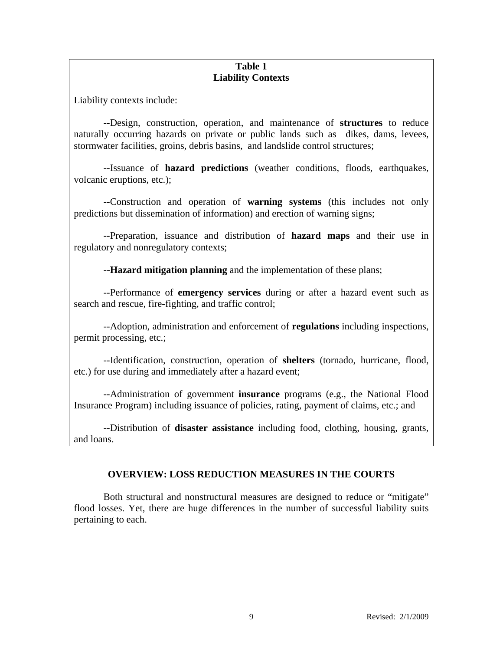## **Table 1 Liability Contexts**

Liability contexts include:

--Design, construction, operation, and maintenance of **structures** to reduce naturally occurring hazards on private or public lands such as dikes, dams, levees, stormwater facilities, groins, debris basins, and landslide control structures;

 --Issuance of **hazard predictions** (weather conditions, floods, earthquakes, volcanic eruptions, etc.);

--Construction and operation of **warning systems** (this includes not only predictions but dissemination of information) and erection of warning signs;

 --Preparation, issuance and distribution of **hazard maps** and their use in regulatory and nonregulatory contexts;

--**Hazard mitigation planning** and the implementation of these plans;

 --Performance of **emergency services** during or after a hazard event such as search and rescue, fire-fighting, and traffic control;

--Adoption, administration and enforcement of **regulations** including inspections, permit processing, etc.;

--Identification, construction, operation of **shelters** (tornado, hurricane, flood, etc.) for use during and immediately after a hazard event;

 --Administration of government **insurance** programs (e.g., the National Flood Insurance Program) including issuance of policies, rating, payment of claims, etc.; and

--Distribution of **disaster assistance** including food, clothing, housing, grants, and loans.

# **OVERVIEW: LOSS REDUCTION MEASURES IN THE COURTS**

 Both structural and nonstructural measures are designed to reduce or "mitigate" flood losses. Yet, there are huge differences in the number of successful liability suits pertaining to each.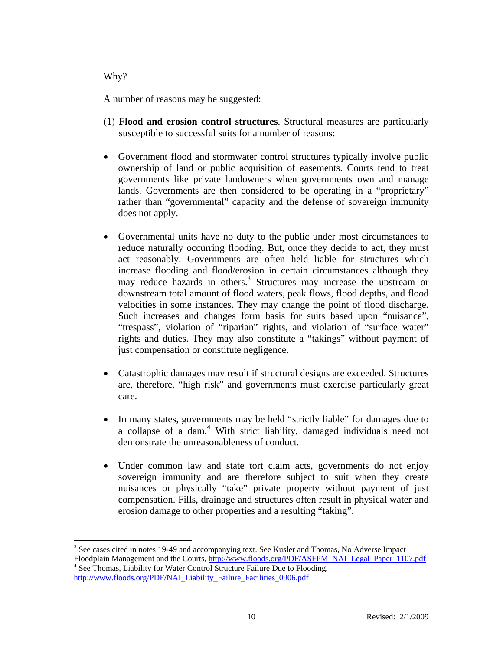## Why?

 $\overline{a}$ 

A number of reasons may be suggested:

- (1) **Flood and erosion control structures**. Structural measures are particularly susceptible to successful suits for a number of reasons:
- Government flood and stormwater control structures typically involve public ownership of land or public acquisition of easements. Courts tend to treat governments like private landowners when governments own and manage lands. Governments are then considered to be operating in a "proprietary" rather than "governmental" capacity and the defense of sovereign immunity does not apply.
- Governmental units have no duty to the public under most circumstances to reduce naturally occurring flooding. But, once they decide to act, they must act reasonably. Governments are often held liable for structures which increase flooding and flood/erosion in certain circumstances although they may reduce hazards in others.<sup>3</sup> Structures may increase the upstream or downstream total amount of flood waters, peak flows, flood depths, and flood velocities in some instances. They may change the point of flood discharge. Such increases and changes form basis for suits based upon "nuisance", "trespass", violation of "riparian" rights, and violation of "surface water" rights and duties. They may also constitute a "takings" without payment of just compensation or constitute negligence.
- Catastrophic damages may result if structural designs are exceeded. Structures are, therefore, "high risk" and governments must exercise particularly great care.
- In many states, governments may be held "strictly liable" for damages due to a collapse of a dam.<sup>4</sup> With strict liability, damaged individuals need not demonstrate the unreasonableness of conduct.
- Under common law and state tort claim acts, governments do not enjoy sovereign immunity and are therefore subject to suit when they create nuisances or physically "take" private property without payment of just compensation. Fills, drainage and structures often result in physical water and erosion damage to other properties and a resulting "taking".

<sup>&</sup>lt;sup>3</sup> See cases cited in notes 19-49 and accompanying text. See Kusler and Thomas, No Adverse Impact Floodplain Management and the Courts, http://www.floods.org/PDF/ASFPM\_NAI\_Legal\_Paper\_1107.pdf <sup>4</sup> See Thomas, Liability for Water Control Structure Failure Due to Flooding, http://www.floods.org/PDF/NAI\_Liability\_Failure\_Facilities\_0906.pdf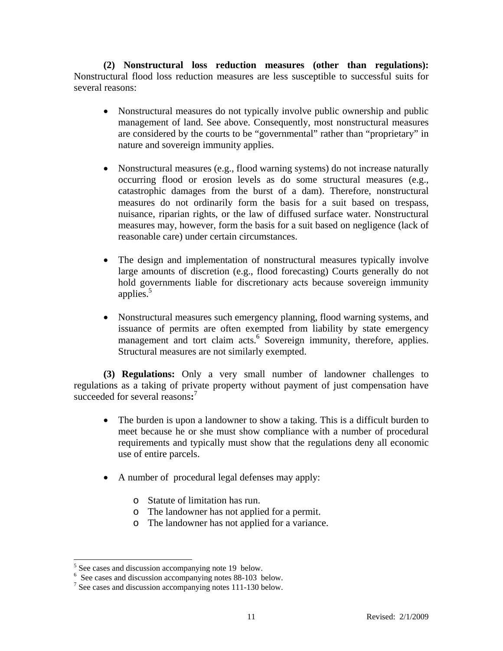**(2) Nonstructural loss reduction measures (other than regulations):**  Nonstructural flood loss reduction measures are less susceptible to successful suits for several reasons:

- Nonstructural measures do not typically involve public ownership and public management of land. See above. Consequently, most nonstructural measures are considered by the courts to be "governmental" rather than "proprietary" in nature and sovereign immunity applies.
- Nonstructural measures (e.g., flood warning systems) do not increase naturally occurring flood or erosion levels as do some structural measures (e.g., catastrophic damages from the burst of a dam). Therefore, nonstructural measures do not ordinarily form the basis for a suit based on trespass, nuisance, riparian rights, or the law of diffused surface water. Nonstructural measures may, however, form the basis for a suit based on negligence (lack of reasonable care) under certain circumstances.
- The design and implementation of nonstructural measures typically involve large amounts of discretion (e.g., flood forecasting) Courts generally do not hold governments liable for discretionary acts because sovereign immunity applies.<sup>5</sup>
- Nonstructural measures such emergency planning, flood warning systems, and issuance of permits are often exempted from liability by state emergency management and tort claim acts.<sup>6</sup> Sovereign immunity, therefore, applies. Structural measures are not similarly exempted.

 **(3) Regulations:** Only a very small number of landowner challenges to regulations as a taking of private property without payment of just compensation have succeeded for several reasons:<sup>7</sup>

- The burden is upon a landowner to show a taking. This is a difficult burden to meet because he or she must show compliance with a number of procedural requirements and typically must show that the regulations deny all economic use of entire parcels.
- A number of procedural legal defenses may apply:
	- o Statute of limitation has run.
	- o The landowner has not applied for a permit.
	- o The landowner has not applied for a variance.

 $5$  See cases and discussion accompanying note 19 below.

<sup>6</sup> See cases and discussion accompanying notes 88-103 below.

<sup>&</sup>lt;sup>7</sup> See cases and discussion accompanying notes 111-130 below.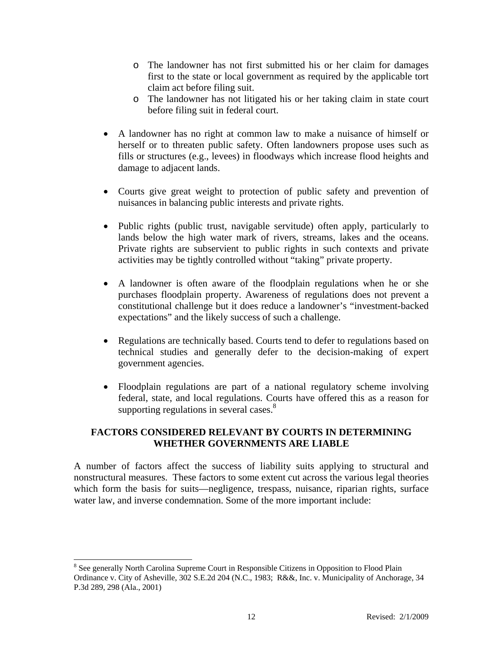- o The landowner has not first submitted his or her claim for damages first to the state or local government as required by the applicable tort claim act before filing suit.
- o The landowner has not litigated his or her taking claim in state court before filing suit in federal court.
- A landowner has no right at common law to make a nuisance of himself or herself or to threaten public safety. Often landowners propose uses such as fills or structures (e.g., levees) in floodways which increase flood heights and damage to adjacent lands.
- Courts give great weight to protection of public safety and prevention of nuisances in balancing public interests and private rights.
- Public rights (public trust, navigable servitude) often apply, particularly to lands below the high water mark of rivers, streams, lakes and the oceans. Private rights are subservient to public rights in such contexts and private activities may be tightly controlled without "taking" private property.
- A landowner is often aware of the floodplain regulations when he or she purchases floodplain property. Awareness of regulations does not prevent a constitutional challenge but it does reduce a landowner's "investment-backed expectations" and the likely success of such a challenge.
- Regulations are technically based. Courts tend to defer to regulations based on technical studies and generally defer to the decision-making of expert government agencies.
- Floodplain regulations are part of a national regulatory scheme involving federal, state, and local regulations. Courts have offered this as a reason for supporting regulations in several cases. $8$

# **FACTORS CONSIDERED RELEVANT BY COURTS IN DETERMINING WHETHER GOVERNMENTS ARE LIABLE**

A number of factors affect the success of liability suits applying to structural and nonstructural measures. These factors to some extent cut across the various legal theories which form the basis for suits—negligence, trespass, nuisance, riparian rights, surface water law, and inverse condemnation. Some of the more important include:

l <sup>8</sup> See generally North Carolina Supreme Court in Responsible Citizens in Opposition to Flood Plain Ordinance v. City of Asheville, 302 S.E.2d 204 (N.C., 1983; R&&, Inc. v. Municipality of Anchorage, 34 P.3d 289, 298 (Ala., 2001)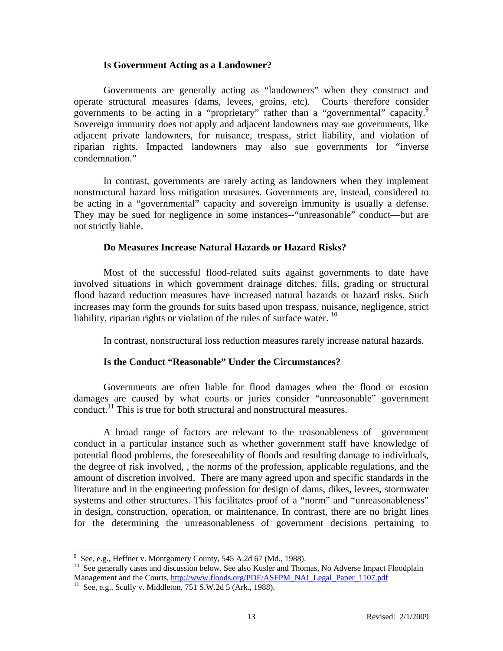#### **Is Government Acting as a Landowner?**

 Governments are generally acting as "landowners" when they construct and operate structural measures (dams, levees, groins, etc). Courts therefore consider governments to be acting in a "proprietary" rather than a "governmental" capacity.<sup>9</sup> Sovereign immunity does not apply and adjacent landowners may sue governments, like adjacent private landowners, for nuisance, trespass, strict liability, and violation of riparian rights. Impacted landowners may also sue governments for "inverse condemnation."

 In contrast, governments are rarely acting as landowners when they implement nonstructural hazard loss mitigation measures. Governments are, instead, considered to be acting in a "governmental" capacity and sovereign immunity is usually a defense. They may be sued for negligence in some instances--"unreasonable" conduct—but are not strictly liable.

## **Do Measures Increase Natural Hazards or Hazard Risks?**

 Most of the successful flood-related suits against governments to date have involved situations in which government drainage ditches, fills, grading or structural flood hazard reduction measures have increased natural hazards or hazard risks. Such increases may form the grounds for suits based upon trespass, nuisance, negligence, strict liability, riparian rights or violation of the rules of surface water.  $^{10}$ 

In contrast, nonstructural loss reduction measures rarely increase natural hazards.

## **Is the Conduct "Reasonable" Under the Circumstances?**

 Governments are often liable for flood damages when the flood or erosion damages are caused by what courts or juries consider "unreasonable" government conduct.<sup>11</sup> This is true for both structural and nonstructural measures.

 A broad range of factors are relevant to the reasonableness of government conduct in a particular instance such as whether government staff have knowledge of potential flood problems, the foreseeability of floods and resulting damage to individuals, the degree of risk involved, , the norms of the profession, applicable regulations, and the amount of discretion involved. There are many agreed upon and specific standards in the literature and in the engineering profession for design of dams, dikes, levees, stormwater systems and other structures. This facilitates proof of a "norm" and "unreasonableness" in design, construction, operation, or maintenance. In contrast, there are no bright lines for the determining the unreasonableness of government decisions pertaining to

 9 See, e.g., Heffner v. Montgomery County, 545 A.2d 67 (Md., 1988).

<sup>10</sup> See, e.g., Hernier v. Mongomery Councy, Councy, Council of American Council Council See generally cases and discussion below. See also Kusler and Thomas, No Adverse Impact Floodplain Management and the Courts, http://www.floods.org/PDF/ASFPM\_NAI\_Legal\_Paper\_1107.pdf <sup>11</sup> See, e.g., Scully v. Middleton, 751 S.W.2d 5 (Ark., 1988).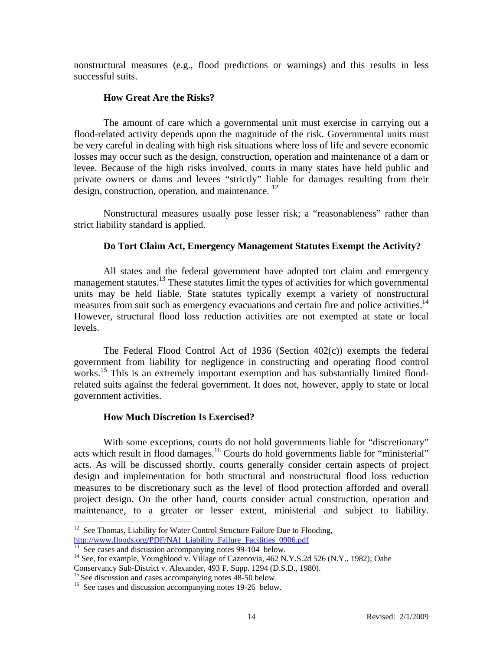nonstructural measures (e.g., flood predictions or warnings) and this results in less successful suits.

## **How Great Are the Risks?**

 The amount of care which a governmental unit must exercise in carrying out a flood-related activity depends upon the magnitude of the risk. Governmental units must be very careful in dealing with high risk situations where loss of life and severe economic losses may occur such as the design, construction, operation and maintenance of a dam or levee. Because of the high risks involved, courts in many states have held public and private owners or dams and levees "strictly" liable for damages resulting from their design, construction, operation, and maintenance.  $^{12}$ 

 Nonstructural measures usually pose lesser risk; a "reasonableness" rather than strict liability standard is applied.

## **Do Tort Claim Act, Emergency Management Statutes Exempt the Activity?**

 All states and the federal government have adopted tort claim and emergency management statutes.<sup>13</sup> These statutes limit the types of activities for which governmental units may be held liable. State statutes typically exempt a variety of nonstructural measures from suit such as emergency evacuations and certain fire and police activities.<sup>14</sup> However, structural flood loss reduction activities are not exempted at state or local levels.

 The Federal Flood Control Act of 1936 (Section 402(c)) exempts the federal government from liability for negligence in constructing and operating flood control works.<sup>15</sup> This is an extremely important exemption and has substantially limited floodrelated suits against the federal government. It does not, however, apply to state or local government activities.

## **How Much Discretion Is Exercised?**

With some exceptions, courts do not hold governments liable for "discretionary" acts which result in flood damages.<sup>16</sup> Courts do hold governments liable for "ministerial" acts. As will be discussed shortly, courts generally consider certain aspects of project design and implementation for both structural and nonstructural flood loss reduction measures to be discretionary such as the level of flood protection afforded and overall project design. On the other hand, courts consider actual construction, operation and maintenance, to a greater or lesser extent, ministerial and subject to liability.

 $\overline{a}$ 

 $12$  See Thomas, Liability for Water Control Structure Failure Due to Flooding, http://www.floods.org/PDF/NAI\_Liability\_Failure\_Facilities\_0906.pdf<br><sup>13</sup> See cases and discussion accompanying notes 99-104 below.

<sup>&</sup>lt;sup>14</sup> See, for example, Youngblood v. Village of Cazenovia, 462 N.Y.S.2d 526 (N.Y., 1982); Oahe

Conservancy Sub-District v. Alexander, 493 F. Supp. 1294 (D.S.D., 1980).<br><sup>15</sup> See discussion and cases accompanying notes 48-50 below.

 $16$  See cases and discussion accompanying notes 19-26 below.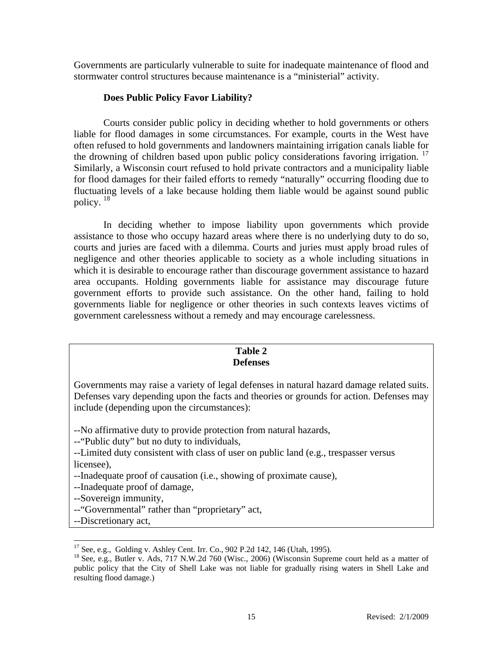Governments are particularly vulnerable to suite for inadequate maintenance of flood and stormwater control structures because maintenance is a "ministerial" activity.

## **Does Public Policy Favor Liability?**

 Courts consider public policy in deciding whether to hold governments or others liable for flood damages in some circumstances. For example, courts in the West have often refused to hold governments and landowners maintaining irrigation canals liable for the drowning of children based upon public policy considerations favoring irrigation.<sup>17</sup> Similarly, a Wisconsin court refused to hold private contractors and a municipality liable for flood damages for their failed efforts to remedy "naturally" occurring flooding due to fluctuating levels of a lake because holding them liable would be against sound public policy.<sup>18</sup>

In deciding whether to impose liability upon governments which provide assistance to those who occupy hazard areas where there is no underlying duty to do so, courts and juries are faced with a dilemma. Courts and juries must apply broad rules of negligence and other theories applicable to society as a whole including situations in which it is desirable to encourage rather than discourage government assistance to hazard area occupants. Holding governments liable for assistance may discourage future government efforts to provide such assistance. On the other hand, failing to hold governments liable for negligence or other theories in such contexts leaves victims of government carelessness without a remedy and may encourage carelessness.

#### **Table 2 Defenses**

Governments may raise a variety of legal defenses in natural hazard damage related suits. Defenses vary depending upon the facts and theories or grounds for action. Defenses may include (depending upon the circumstances):

--No affirmative duty to provide protection from natural hazards,

--"Public duty" but no duty to individuals,

- --Limited duty consistent with class of user on public land (e.g., trespasser versus licensee),
- --Inadequate proof of causation (i.e., showing of proximate cause),
- --Inadequate proof of damage,

--Sovereign immunity,

- --"Governmental" rather than "proprietary" act,
- --Discretionary act,

 $\overline{a}$ 

 $17$  See, e.g., Golding v. Ashley Cent. Irr. Co., 902 P.2d 142, 146 (Utah, 1995).

<sup>&</sup>lt;sup>18</sup> See, e.g., Butler v. Ads, 717 N.W.2d 760 (Wisc., 2006) (Wisconsin Supreme court held as a matter of public policy that the City of Shell Lake was not liable for gradually rising waters in Shell Lake and resulting flood damage.)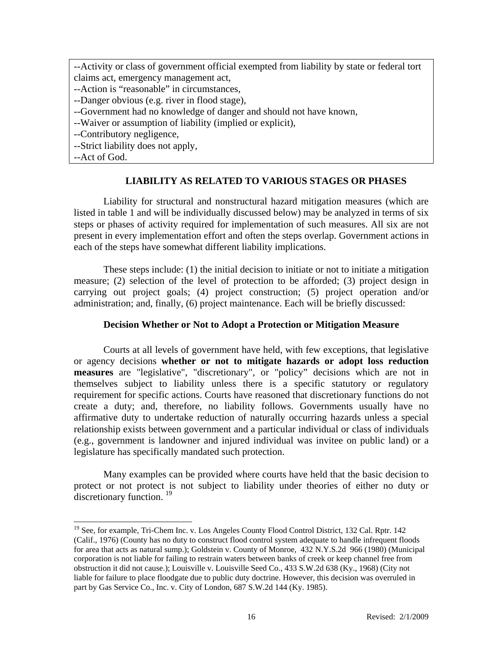--Activity or class of government official exempted from liability by state or federal tort claims act, emergency management act,

- --Action is "reasonable" in circumstances,
- --Danger obvious (e.g. river in flood stage),
- --Government had no knowledge of danger and should not have known,
- --Waiver or assumption of liability (implied or explicit),
- --Contributory negligence,
- --Strict liability does not apply,

--Act of God.

 $\overline{a}$ 

## **LIABILITY AS RELATED TO VARIOUS STAGES OR PHASES**

 Liability for structural and nonstructural hazard mitigation measures (which are listed in table 1 and will be individually discussed below) may be analyzed in terms of six steps or phases of activity required for implementation of such measures. All six are not present in every implementation effort and often the steps overlap. Government actions in each of the steps have somewhat different liability implications.

These steps include: (1) the initial decision to initiate or not to initiate a mitigation measure; (2) selection of the level of protection to be afforded; (3) project design in carrying out project goals; (4) project construction; (5) project operation and/or administration; and, finally, (6) project maintenance. Each will be briefly discussed:

## **Decision Whether or Not to Adopt a Protection or Mitigation Measure**

Courts at all levels of government have held, with few exceptions, that legislative or agency decisions **whether or not to mitigate hazards or adopt loss reduction measures** are "legislative", "discretionary", or "policy" decisions which are not in themselves subject to liability unless there is a specific statutory or regulatory requirement for specific actions. Courts have reasoned that discretionary functions do not create a duty; and, therefore, no liability follows. Governments usually have no affirmative duty to undertake reduction of naturally occurring hazards unless a special relationship exists between government and a particular individual or class of individuals (e.g., government is landowner and injured individual was invitee on public land) or a legislature has specifically mandated such protection.

Many examples can be provided where courts have held that the basic decision to protect or not protect is not subject to liability under theories of either no duty or discretionary function.  $19$ 

<sup>&</sup>lt;sup>19</sup> See, for example, Tri-Chem Inc. v. Los Angeles County Flood Control District, 132 Cal. Rptr. 142 (Calif., 1976) (County has no duty to construct flood control system adequate to handle infrequent floods for area that acts as natural sump.); Goldstein v. County of Monroe, 432 N.Y.S.2d 966 (1980) (Municipal corporation is not liable for failing to restrain waters between banks of creek or keep channel free from obstruction it did not cause.); Louisville v. Louisville Seed Co., 433 S.W.2d 638 (Ky., 1968) (City not liable for failure to place floodgate due to public duty doctrine. However, this decision was overruled in part by Gas Service Co., Inc. v. City of London, 687 S.W.2d 144 (Ky. 1985).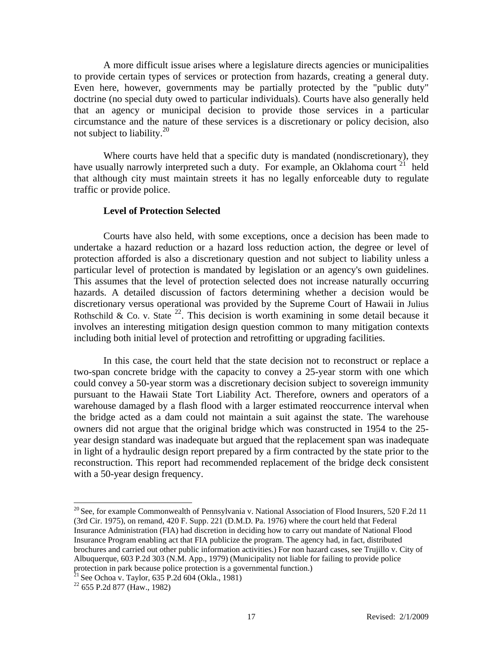A more difficult issue arises where a legislature directs agencies or municipalities to provide certain types of services or protection from hazards, creating a general duty. Even here, however, governments may be partially protected by the "public duty" doctrine (no special duty owed to particular individuals). Courts have also generally held that an agency or municipal decision to provide those services in a particular circumstance and the nature of these services is a discretionary or policy decision, also not subject to liability.20

 Where courts have held that a specific duty is mandated (nondiscretionary), they have usually narrowly interpreted such a duty. For example, an Oklahoma court  $21$  held that although city must maintain streets it has no legally enforceable duty to regulate traffic or provide police.

#### **Level of Protection Selected**

Courts have also held, with some exceptions, once a decision has been made to undertake a hazard reduction or a hazard loss reduction action, the degree or level of protection afforded is also a discretionary question and not subject to liability unless a particular level of protection is mandated by legislation or an agency's own guidelines. This assumes that the level of protection selected does not increase naturally occurring hazards. A detailed discussion of factors determining whether a decision would be discretionary versus operational was provided by the Supreme Court of Hawaii in Julius Rothschild & Co. v. State  $^{22}$ . This decision is worth examining in some detail because it involves an interesting mitigation design question common to many mitigation contexts including both initial level of protection and retrofitting or upgrading facilities.

 In this case, the court held that the state decision not to reconstruct or replace a two-span concrete bridge with the capacity to convey a 25-year storm with one which could convey a 50-year storm was a discretionary decision subject to sovereign immunity pursuant to the Hawaii State Tort Liability Act. Therefore, owners and operators of a warehouse damaged by a flash flood with a larger estimated reoccurrence interval when the bridge acted as a dam could not maintain a suit against the state. The warehouse owners did not argue that the original bridge which was constructed in 1954 to the 25 year design standard was inadequate but argued that the replacement span was inadequate in light of a hydraulic design report prepared by a firm contracted by the state prior to the reconstruction. This report had recommended replacement of the bridge deck consistent with a 50-year design frequency.

l

 $20$  See, for example Commonwealth of Pennsylvania v. National Association of Flood Insurers, 520 F.2d 11 (3rd Cir. 1975), on remand, 420 F. Supp. 221 (D.M.D. Pa. 1976) where the court held that Federal Insurance Administration (FIA) had discretion in deciding how to carry out mandate of National Flood Insurance Program enabling act that FIA publicize the program. The agency had, in fact, distributed brochures and carried out other public information activities.) For non hazard cases, see Trujillo v. City of Albuquerque, 603 P.2d 303 (N.M. App., 1979) (Municipality not liable for failing to provide police protection in park because police protection is a governmental function.)<br><sup>21</sup> See Ochoa v. Taylor, 635 P.2d 604 (Okla., 1981)<br><sup>22</sup> 655 P.2d 877 (Haw., 1982)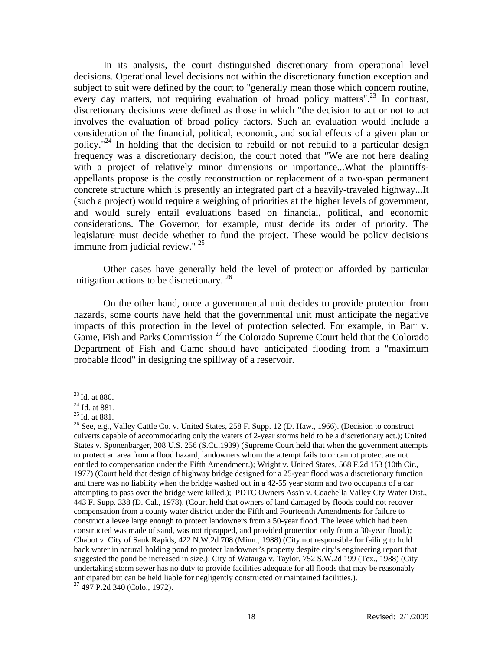In its analysis, the court distinguished discretionary from operational level decisions. Operational level decisions not within the discretionary function exception and subject to suit were defined by the court to "generally mean those which concern routine, every day matters, not requiring evaluation of broad policy matters".<sup>23</sup> In contrast, discretionary decisions were defined as those in which "the decision to act or not to act involves the evaluation of broad policy factors. Such an evaluation would include a consideration of the financial, political, economic, and social effects of a given plan or policy."<sup>24</sup> In holding that the decision to rebuild or not rebuild to a particular design frequency was a discretionary decision, the court noted that "We are not here dealing with a project of relatively minor dimensions or importance...What the plaintiffsappellants propose is the costly reconstruction or replacement of a two-span permanent concrete structure which is presently an integrated part of a heavily-traveled highway...It (such a project) would require a weighing of priorities at the higher levels of government, and would surely entail evaluations based on financial, political, and economic considerations. The Governor, for example, must decide its order of priority. The legislature must decide whether to fund the project. These would be policy decisions immune from judicial review." <sup>25</sup>

 Other cases have generally held the level of protection afforded by particular mitigation actions to be discretionary.  $26$ 

 On the other hand, once a governmental unit decides to provide protection from hazards, some courts have held that the governmental unit must anticipate the negative impacts of this protection in the level of protection selected. For example, in Barr v. Game, Fish and Parks Commission<sup>27</sup> the Colorado Supreme Court held that the Colorado Department of Fish and Game should have anticipated flooding from a "maximum probable flood" in designing the spillway of a reservoir.

 $\overline{a}$ 

<sup>&</sup>lt;sup>23</sup> Id. at 880.<br><sup>24</sup> Id. at 881.<br><sup>25</sup> Id. at 881.<br><sup>25</sup> See, e.g., Valley Cattle Co. v. United States, 258 F. Supp. 12 (D. Haw., 1966). (Decision to construct culverts capable of accommodating only the waters of 2-year storms held to be a discretionary act.); United States v. Sponenbarger, 308 U.S. 256 (S.Ct.,1939) (Supreme Court held that when the government attempts to protect an area from a flood hazard, landowners whom the attempt fails to or cannot protect are not entitled to compensation under the Fifth Amendment.); Wright v. United States, 568 F.2d 153 (10th Cir., 1977) (Court held that design of highway bridge designed for a 25-year flood was a discretionary function and there was no liability when the bridge washed out in a 42-55 year storm and two occupants of a car attempting to pass over the bridge were killed.); PDTC Owners Ass'n v. Coachella Valley Cty Water Dist., 443 F. Supp. 338 (D. Cal., 1978). (Court held that owners of land damaged by floods could not recover compensation from a county water district under the Fifth and Fourteenth Amendments for failure to construct a levee large enough to protect landowners from a 50-year flood. The levee which had been constructed was made of sand, was not riprapped, and provided protection only from a 30-year flood.); Chabot v. City of Sauk Rapids, 422 N.W.2d 708 (Minn., 1988) (City not responsible for failing to hold back water in natural holding pond to protect landowner's property despite city's engineering report that suggested the pond be increased in size.); City of Watauga v. Taylor, 752 S.W.2d 199 (Tex., 1988) (City undertaking storm sewer has no duty to provide facilities adequate for all floods that may be reasonably anticipated but can be held liable for negligently constructed or maintained facilities.). 27 497 P.2d 340 (Colo., 1972).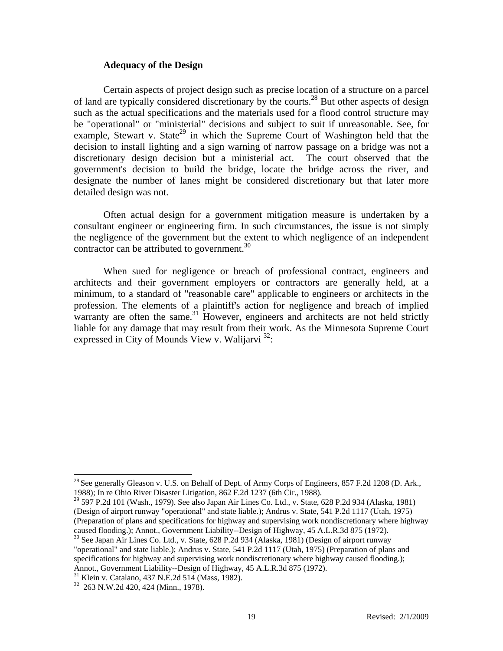#### **Adequacy of the Design**

Certain aspects of project design such as precise location of a structure on a parcel of land are typically considered discretionary by the courts.28 But other aspects of design such as the actual specifications and the materials used for a flood control structure may be "operational" or "ministerial" decisions and subject to suit if unreasonable. See, for example, Stewart v. State<sup>29</sup> in which the Supreme Court of Washington held that the decision to install lighting and a sign warning of narrow passage on a bridge was not a discretionary design decision but a ministerial act. The court observed that the government's decision to build the bridge, locate the bridge across the river, and designate the number of lanes might be considered discretionary but that later more detailed design was not.

 Often actual design for a government mitigation measure is undertaken by a consultant engineer or engineering firm. In such circumstances, the issue is not simply the negligence of the government but the extent to which negligence of an independent contractor can be attributed to government.<sup>30</sup>

 When sued for negligence or breach of professional contract, engineers and architects and their government employers or contractors are generally held, at a minimum, to a standard of "reasonable care" applicable to engineers or architects in the profession. The elements of a plaintiff's action for negligence and breach of implied warranty are often the same. $31$  However, engineers and architects are not held strictly liable for any damage that may result from their work. As the Minnesota Supreme Court expressed in City of Mounds View v. Walijarvi  $^{32}$ :

 $\overline{a}$ 

 $^{28}$  See generally Gleason v. U.S. on Behalf of Dept. of Army Corps of Engineers, 857 F.2d 1208 (D. Ark., 1988); In re Ohio River Disaster Litigation, 862 F.2d 1237 (6th Cir., 1988).

 $^{29}$  597 P.2d 101 (Wash., 1979). See also Japan Air Lines Co. Ltd., v. State, 628 P.2d 934 (Alaska, 1981) (Design of airport runway "operational" and state liable.); Andrus v. State, 541 P.2d 1117 (Utah, 1975) (Preparation of plans and specifications for highway and supervising work nondiscretionary where highway caused flooding.); Annot., Government Liability--Design of Highway, 45 A.L.R.3d 875 (1972).

<sup>&</sup>lt;sup>30</sup> See Japan Air Lines Co. Ltd., v. State, 628 P.2d 934 (Alaska, 1981) (Design of airport runway "operational" and state liable.); Andrus v. State, 541 P.2d 1117 (Utah, 1975) (Preparation of plans and specifications for highway and supervising work nondiscretionary where highway caused flooding.); Annot., Government Liability--Design of Highway, 45 A.L.R.3d 875 (1972).<br><sup>31</sup> Klein v. Catalano, 437 N.E.2d 514 (Mass, 1982).

<sup>32 263</sup> N.W.2d 420, 424 (Minn., 1978).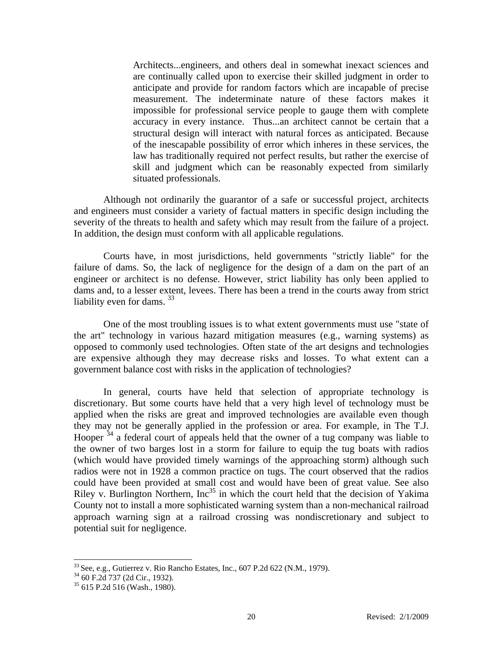Architects...engineers, and others deal in somewhat inexact sciences and are continually called upon to exercise their skilled judgment in order to anticipate and provide for random factors which are incapable of precise measurement. The indeterminate nature of these factors makes it impossible for professional service people to gauge them with complete accuracy in every instance. Thus...an architect cannot be certain that a structural design will interact with natural forces as anticipated. Because of the inescapable possibility of error which inheres in these services, the law has traditionally required not perfect results, but rather the exercise of skill and judgment which can be reasonably expected from similarly situated professionals.

 Although not ordinarily the guarantor of a safe or successful project, architects and engineers must consider a variety of factual matters in specific design including the severity of the threats to health and safety which may result from the failure of a project. In addition, the design must conform with all applicable regulations.

 Courts have, in most jurisdictions, held governments "strictly liable" for the failure of dams. So, the lack of negligence for the design of a dam on the part of an engineer or architect is no defense. However, strict liability has only been applied to dams and, to a lesser extent, levees. There has been a trend in the courts away from strict liability even for dams.  $33$ 

One of the most troubling issues is to what extent governments must use "state of the art" technology in various hazard mitigation measures (e.g., warning systems) as opposed to commonly used technologies. Often state of the art designs and technologies are expensive although they may decrease risks and losses. To what extent can a government balance cost with risks in the application of technologies?

 In general, courts have held that selection of appropriate technology is discretionary. But some courts have held that a very high level of technology must be applied when the risks are great and improved technologies are available even though they may not be generally applied in the profession or area. For example, in The T.J. Hooper  $34$  a federal court of appeals held that the owner of a tug company was liable to the owner of two barges lost in a storm for failure to equip the tug boats with radios (which would have provided timely warnings of the approaching storm) although such radios were not in 1928 a common practice on tugs. The court observed that the radios could have been provided at small cost and would have been of great value. See also Riley v. Burlington Northern,  $Inc^{35}$  in which the court held that the decision of Yakima County not to install a more sophisticated warning system than a non-mechanical railroad approach warning sign at a railroad crossing was nondiscretionary and subject to potential suit for negligence.

l

<sup>&</sup>lt;sup>33</sup> See, e.g., Gutierrez v. Rio Rancho Estates, Inc., 607 P.2d 622 (N.M., 1979).<br><sup>34</sup> 60 F.2d 737 (2d Cir., 1932).

<sup>35 615</sup> P.2d 516 (Wash., 1980).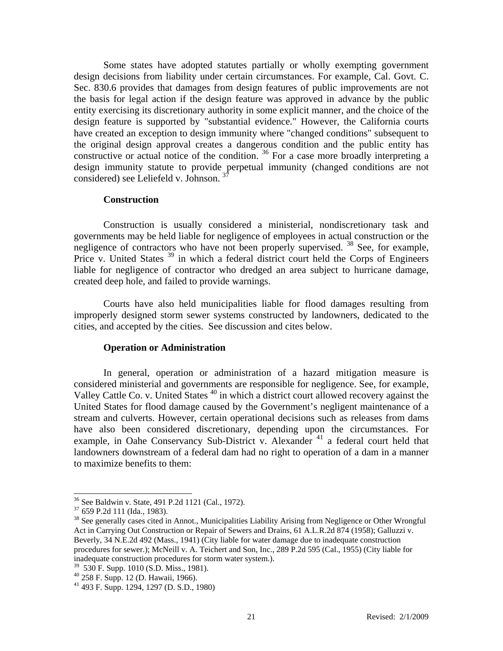Some states have adopted statutes partially or wholly exempting government design decisions from liability under certain circumstances. For example, Cal. Govt. C. Sec. 830.6 provides that damages from design features of public improvements are not the basis for legal action if the design feature was approved in advance by the public entity exercising its discretionary authority in some explicit manner, and the choice of the design feature is supported by "substantial evidence." However, the California courts have created an exception to design immunity where "changed conditions" subsequent to the original design approval creates a dangerous condition and the public entity has constructive or actual notice of the condition.  $36$  For a case more broadly interpreting a design immunity statute to provide perpetual immunity (changed conditions are not considered) see Leliefeld v. Johnson.<sup>3</sup>

#### **Construction**

Construction is usually considered a ministerial, nondiscretionary task and governments may be held liable for negligence of employees in actual construction or the negligence of contractors who have not been properly supervised. <sup>38</sup> See, for example, Price v. United States  $39$  in which a federal district court held the Corps of Engineers liable for negligence of contractor who dredged an area subject to hurricane damage, created deep hole, and failed to provide warnings.

Courts have also held municipalities liable for flood damages resulting from improperly designed storm sewer systems constructed by landowners, dedicated to the cities, and accepted by the cities. See discussion and cites below.

#### **Operation or Administration**

In general, operation or administration of a hazard mitigation measure is considered ministerial and governments are responsible for negligence. See, for example, Valley Cattle Co. v. United States <sup>40</sup> in which a district court allowed recovery against the United States for flood damage caused by the Government's negligent maintenance of a stream and culverts. However, certain operational decisions such as releases from dams have also been considered discretionary, depending upon the circumstances. For example, in Oahe Conservancy Sub-District v. Alexander <sup>41</sup> a federal court held that landowners downstream of a federal dam had no right to operation of a dam in a manner to maximize benefits to them:

 $36$  See Baldwin v. State, 491 P.2d 1121 (Cal., 1972).<br> $37$  659 P.2d 111 (Ida., 1983).

 $38$  See generally cases cited in Annot., Municipalities Liability Arising from Negligence or Other Wrongful Act in Carrying Out Construction or Repair of Sewers and Drains, 61 A.L.R.2d 874 (1958); Galluzzi v. Beverly, 34 N.E.2d 492 (Mass., 1941) (City liable for water damage due to inadequate construction procedures for sewer.); McNeill v. A. Teichert and Son, Inc., 289 P.2d 595 (Cal., 1955) (City liable for inadequate construction procedures for storm water system.).

<sup>39 530</sup> F. Supp. 1010 (S.D. Miss., 1981).

<sup>40 258</sup> F. Supp. 12 (D. Hawaii, 1966).

<sup>41 493</sup> F. Supp. 1294, 1297 (D. S.D., 1980)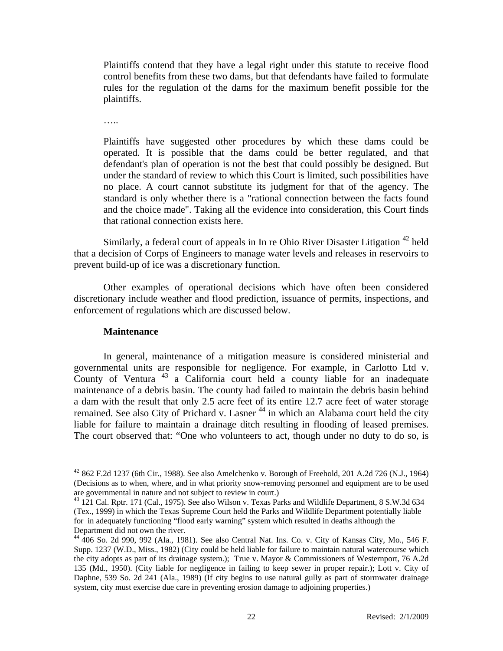Plaintiffs contend that they have a legal right under this statute to receive flood control benefits from these two dams, but that defendants have failed to formulate rules for the regulation of the dams for the maximum benefit possible for the plaintiffs.

…..

Plaintiffs have suggested other procedures by which these dams could be operated. It is possible that the dams could be better regulated, and that defendant's plan of operation is not the best that could possibly be designed. But under the standard of review to which this Court is limited, such possibilities have no place. A court cannot substitute its judgment for that of the agency. The standard is only whether there is a "rational connection between the facts found and the choice made". Taking all the evidence into consideration, this Court finds that rational connection exists here.

Similarly, a federal court of appeals in In re Ohio River Disaster Litigation  $42$  held that a decision of Corps of Engineers to manage water levels and releases in reservoirs to prevent build-up of ice was a discretionary function.

Other examples of operational decisions which have often been considered discretionary include weather and flood prediction, issuance of permits, inspections, and enforcement of regulations which are discussed below.

#### **Maintenance**

 $\overline{\phantom{a}}$ 

In general, maintenance of a mitigation measure is considered ministerial and governmental units are responsible for negligence. For example, in Carlotto Ltd v. County of Ventura  $43$  a California court held a county liable for an inadequate maintenance of a debris basin. The county had failed to maintain the debris basin behind a dam with the result that only 2.5 acre feet of its entire 12.7 acre feet of water storage remained. See also City of Prichard v. Lasner<sup>44</sup> in which an Alabama court held the city liable for failure to maintain a drainage ditch resulting in flooding of leased premises. The court observed that: "One who volunteers to act, though under no duty to do so, is

<sup>42</sup> 862 F.2d 1237 (6th Cir., 1988). See also Amelchenko v. Borough of Freehold, 201 A.2d 726 (N.J., 1964) (Decisions as to when, where, and in what priority snow-removing personnel and equipment are to be used are governmental in nature and not subject to review in court.)

<sup>&</sup>lt;sup>43</sup> 121 Cal. Rptr. 171 (Cal., 1975). See also Wilson v. Texas Parks and Wildlife Department, 8 S.W.3d 634 (Tex., 1999) in which the Texas Supreme Court held the Parks and Wildlife Department potentially liable for in adequately functioning "flood early warning" system which resulted in deaths although the Department did not own the river.

<sup>44 406</sup> So. 2d 990, 992 (Ala., 1981). See also Central Nat. Ins. Co. v. City of Kansas City, Mo., 546 F. Supp. 1237 (W.D., Miss., 1982) (City could be held liable for failure to maintain natural watercourse which the city adopts as part of its drainage system.); True v. Mayor & Commissioners of Westernport, 76 A.2d 135 (Md., 1950). (City liable for negligence in failing to keep sewer in proper repair.); Lott v. City of Daphne, 539 So. 2d 241 (Ala., 1989) (If city begins to use natural gully as part of stormwater drainage system, city must exercise due care in preventing erosion damage to adjoining properties.)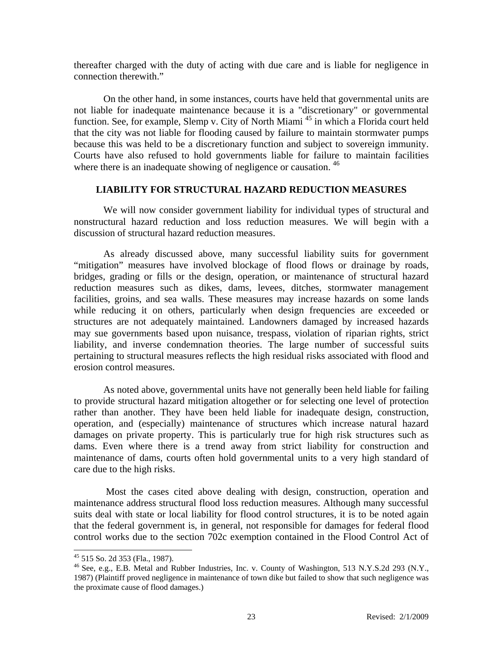thereafter charged with the duty of acting with due care and is liable for negligence in connection therewith."

On the other hand, in some instances, courts have held that governmental units are not liable for inadequate maintenance because it is a "discretionary" or governmental function. See, for example, Slemp v. City of North Miami<sup>45</sup> in which a Florida court held that the city was not liable for flooding caused by failure to maintain stormwater pumps because this was held to be a discretionary function and subject to sovereign immunity. Courts have also refused to hold governments liable for failure to maintain facilities where there is an inadequate showing of negligence or causation.<sup>46</sup>

## **LIABILITY FOR STRUCTURAL HAZARD REDUCTION MEASURES**

We will now consider government liability for individual types of structural and nonstructural hazard reduction and loss reduction measures. We will begin with a discussion of structural hazard reduction measures.

 As already discussed above, many successful liability suits for government "mitigation" measures have involved blockage of flood flows or drainage by roads, bridges, grading or fills or the design, operation, or maintenance of structural hazard reduction measures such as dikes, dams, levees, ditches, stormwater management facilities, groins, and sea walls. These measures may increase hazards on some lands while reducing it on others, particularly when design frequencies are exceeded or structures are not adequately maintained. Landowners damaged by increased hazards may sue governments based upon nuisance, trespass, violation of riparian rights, strict liability, and inverse condemnation theories. The large number of successful suits pertaining to structural measures reflects the high residual risks associated with flood and erosion control measures.

 As noted above, governmental units have not generally been held liable for failing to provide structural hazard mitigation altogether or for selecting one level of protection rather than another. They have been held liable for inadequate design, construction, operation, and (especially) maintenance of structures which increase natural hazard damages on private property. This is particularly true for high risk structures such as dams. Even where there is a trend away from strict liability for construction and maintenance of dams, courts often hold governmental units to a very high standard of care due to the high risks.

 Most the cases cited above dealing with design, construction, operation and maintenance address structural flood loss reduction measures. Although many successful suits deal with state or local liability for flood control structures, it is to be noted again that the federal government is, in general, not responsible for damages for federal flood control works due to the section 702c exemption contained in the Flood Control Act of

<sup>45 515</sup> So. 2d 353 (Fla., 1987).

<sup>46</sup> See, e.g., E.B. Metal and Rubber Industries, Inc. v. County of Washington, 513 N.Y.S.2d 293 (N.Y., 1987) (Plaintiff proved negligence in maintenance of town dike but failed to show that such negligence was the proximate cause of flood damages.)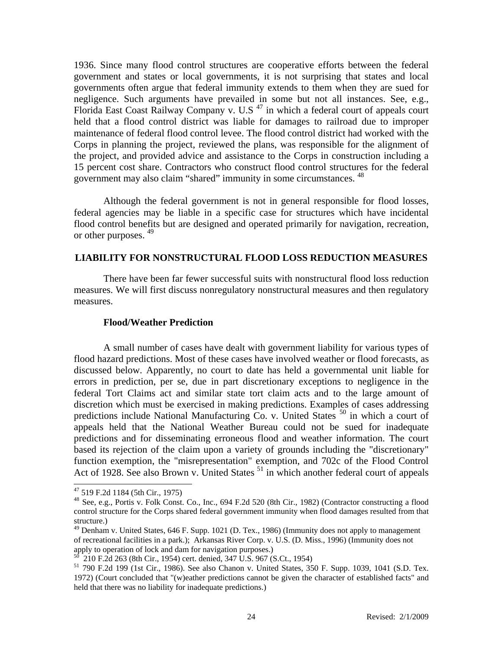1936. Since many flood control structures are cooperative efforts between the federal government and states or local governments, it is not surprising that states and local governments often argue that federal immunity extends to them when they are sued for negligence. Such arguments have prevailed in some but not all instances. See, e.g., Florida East Coast Railway Company v. U.S<sup>47</sup> in which a federal court of appeals court held that a flood control district was liable for damages to railroad due to improper maintenance of federal flood control levee. The flood control district had worked with the Corps in planning the project, reviewed the plans, was responsible for the alignment of the project, and provided advice and assistance to the Corps in construction including a 15 percent cost share. Contractors who construct flood control structures for the federal government may also claim "shared" immunity in some circumstances. <sup>48</sup>

Although the federal government is not in general responsible for flood losses, federal agencies may be liable in a specific case for structures which have incidental flood control benefits but are designed and operated primarily for navigation, recreation, or other purposes. 49

## **LIABILITY FOR NONSTRUCTURAL FLOOD LOSS REDUCTION MEASURES**

 There have been far fewer successful suits with nonstructural flood loss reduction measures. We will first discuss nonregulatory nonstructural measures and then regulatory measures.

#### **Flood/Weather Prediction**

 A small number of cases have dealt with government liability for various types of flood hazard predictions. Most of these cases have involved weather or flood forecasts, as discussed below. Apparently, no court to date has held a governmental unit liable for errors in prediction, per se, due in part discretionary exceptions to negligence in the federal Tort Claims act and similar state tort claim acts and to the large amount of discretion which must be exercised in making predictions. Examples of cases addressing predictions include National Manufacturing Co. v. United States  $50$  in which a court of appeals held that the National Weather Bureau could not be sued for inadequate predictions and for disseminating erroneous flood and weather information. The court based its rejection of the claim upon a variety of grounds including the "discretionary" function exemption, the "misrepresentation" exemption, and 702c of the Flood Control Act of 1928. See also Brown v. United States <sup>51</sup> in which another federal court of appeals

<sup>47 519</sup> F.2d 1184 (5th Cir., 1975)

<sup>48</sup> See, e.g., Portis v. Folk Const. Co., Inc., 694 F.2d 520 (8th Cir., 1982) (Contractor constructing a flood control structure for the Corps shared federal government immunity when flood damages resulted from that structure.)

 $^{49}$  Denham v. United States, 646 F. Supp. 1021 (D. Tex., 1986) (Immunity does not apply to management of recreational facilities in a park.); Arkansas River Corp. v. U.S. (D. Miss., 1996) (Immunity does not apply to operation of lock and dam for navigation purposes.)

<sup>50 210</sup> F.2d 263 (8th Cir., 1954) cert. denied, 347 U.S. 967 (S.Ct., 1954)

<sup>51</sup> 790 F.2d 199 (1st Cir., 1986). See also Chanon v. United States, 350 F. Supp. 1039, 1041 (S.D. Tex. 1972) (Court concluded that "(w)eather predictions cannot be given the character of established facts" and held that there was no liability for inadequate predictions.)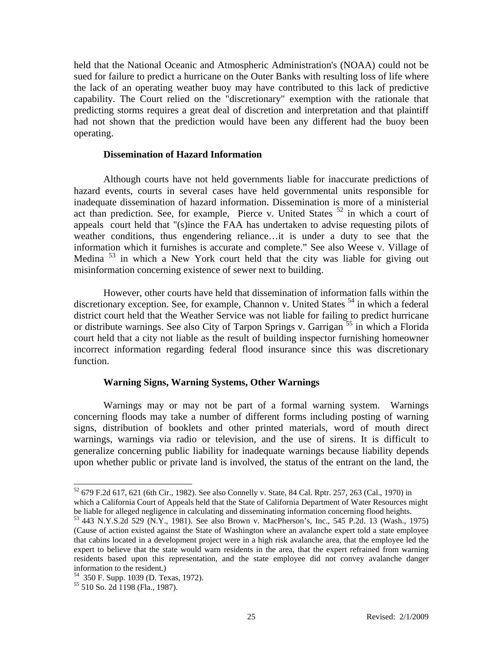held that the National Oceanic and Atmospheric Administration's (NOAA) could not be sued for failure to predict a hurricane on the Outer Banks with resulting loss of life where the lack of an operating weather buoy may have contributed to this lack of predictive capability. The Court relied on the "discretionary" exemption with the rationale that predicting storms requires a great deal of discretion and interpretation and that plaintiff had not shown that the prediction would have been any different had the buoy been operating.

#### **Dissemination of Hazard Information**

 Although courts have not held governments liable for inaccurate predictions of hazard events, courts in several cases have held governmental units responsible for inadequate dissemination of hazard information. Dissemination is more of a ministerial act than prediction. See, for example, Pierce v. United States <sup>52</sup> in which a court of appeals court held that "(s)ince the FAA has undertaken to advise requesting pilots of weather conditions, thus engendering reliance…it is under a duty to see that the information which it furnishes is accurate and complete." See also Weese v. Village of Medina 53 in which a New York court held that the city was liable for giving out misinformation concerning existence of sewer next to building.

 However, other courts have held that dissemination of information falls within the discretionary exception. See, for example, Channon v. United States <sup>54</sup> in which a federal district court held that the Weather Service was not liable for failing to predict hurricane or distribute warnings. See also City of Tarpon Springs v. Garrigan <sup>55</sup> in which a Florida court held that a city not liable as the result of building inspector furnishing homeowner incorrect information regarding federal flood insurance since this was discretionary function.

#### **Warning Signs, Warning Systems, Other Warnings**

 Warnings may or may not be part of a formal warning system. Warnings concerning floods may take a number of different forms including posting of warning signs, distribution of booklets and other printed materials, word of mouth direct warnings, warnings via radio or television, and the use of sirens. It is difficult to generalize concerning public liability for inadequate warnings because liability depends upon whether public or private land is involved, the status of the entrant on the land, the

<sup>52 679</sup> F.2d 617, 621 (6th Cir., 1982). See also Connelly v. State, 84 Cal. Rptr. 257, 263 (Cal., 1970) in which a California Court of Appeals held that the State of California Department of Water Resources might be liable for alleged negligence in calculating and disseminating information concerning flood heights.

<sup>53 443</sup> N.Y.S.2d 529 (N.Y., 1981). See also Brown v. MacPherson's, Inc., 545 P.2d. 13 (Wash., 1975) (Cause of action existed against the State of Washington where an avalanche expert told a state employee that cabins located in a development project were in a high risk avalanche area, that the employee led the expert to believe that the state would warn residents in the area, that the expert refrained from warning residents based upon this representation, and the state employee did not convey avalanche danger information to the resident.)

<sup>54 350</sup> F. Supp. 1039 (D. Texas, 1972).

<sup>55 510</sup> So. 2d 1198 (Fla., 1987).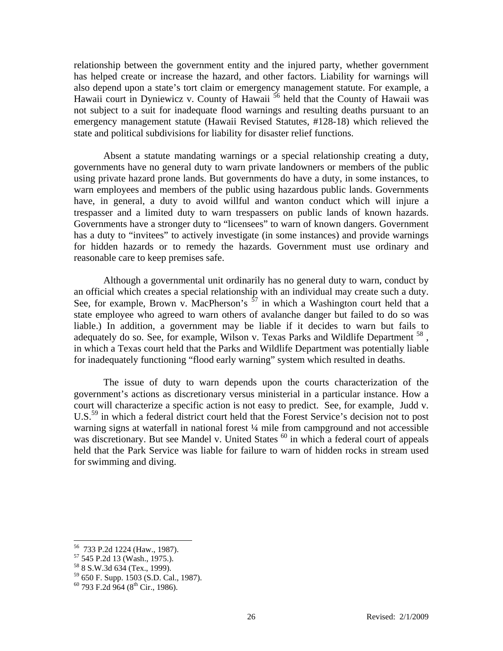relationship between the government entity and the injured party, whether government has helped create or increase the hazard, and other factors. Liability for warnings will also depend upon a state's tort claim or emergency management statute. For example, a Hawaii court in Dyniewicz v. County of Hawaii <sup>56</sup> held that the County of Hawaii was not subject to a suit for inadequate flood warnings and resulting deaths pursuant to an emergency management statute (Hawaii Revised Statutes, #128-18) which relieved the state and political subdivisions for liability for disaster relief functions.

 Absent a statute mandating warnings or a special relationship creating a duty, governments have no general duty to warn private landowners or members of the public using private hazard prone lands. But governments do have a duty, in some instances, to warn employees and members of the public using hazardous public lands. Governments have, in general, a duty to avoid willful and wanton conduct which will injure a trespasser and a limited duty to warn trespassers on public lands of known hazards. Governments have a stronger duty to "licensees" to warn of known dangers. Government has a duty to "invitees" to actively investigate (in some instances) and provide warnings for hidden hazards or to remedy the hazards. Government must use ordinary and reasonable care to keep premises safe.

 Although a governmental unit ordinarily has no general duty to warn, conduct by an official which creates a special relationship with an individual may create such a duty. See, for example, Brown v. MacPherson's  $57$  in which a Washington court held that a state employee who agreed to warn others of avalanche danger but failed to do so was liable.) In addition, a government may be liable if it decides to warn but fails to adequately do so. See, for example, Wilson v. Texas Parks and Wildlife Department  $^{58}$ . in which a Texas court held that the Parks and Wildlife Department was potentially liable for inadequately functioning "flood early warning" system which resulted in deaths.

 The issue of duty to warn depends upon the courts characterization of the government's actions as discretionary versus ministerial in a particular instance. How a court will characterize a specific action is not easy to predict. See, for example, Judd v. U.S.<sup>59</sup> in which a federal district court held that the Forest Service's decision not to post warning signs at waterfall in national forest ¼ mile from campground and not accessible was discretionary. But see Mandel v. United States  $60$  in which a federal court of appeals held that the Park Service was liable for failure to warn of hidden rocks in stream used for swimming and diving.

<sup>56 733</sup> P.2d 1224 (Haw., 1987).

<sup>57 545</sup> P.2d 13 (Wash., 1975.).

<sup>58 8</sup> S.W.3d 634 (Tex., 1999).

<sup>59 650</sup> F. Supp. 1503 (S.D. Cal., 1987).

 $60$  793 F.2d 964 (8<sup>th</sup> Cir., 1986).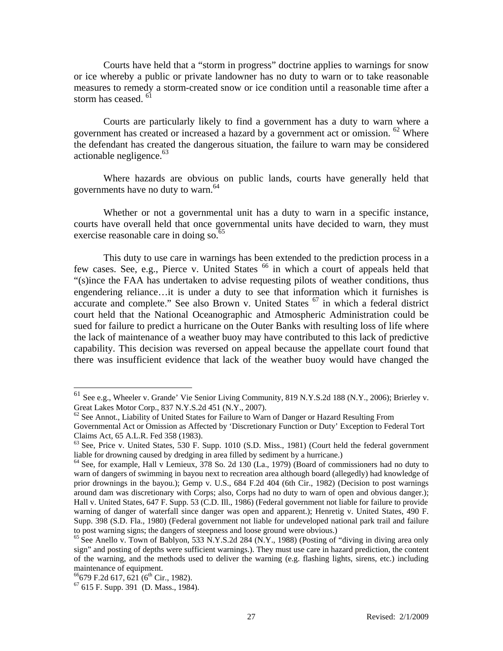Courts have held that a "storm in progress" doctrine applies to warnings for snow or ice whereby a public or private landowner has no duty to warn or to take reasonable measures to remedy a storm-created snow or ice condition until a reasonable time after a storm has ceased.<sup>61</sup>

 Courts are particularly likely to find a government has a duty to warn where a government has created or increased a hazard by a government act or omission.  $62$  Where the defendant has created the dangerous situation, the failure to warn may be considered actionable negligence. $63$ 

 Where hazards are obvious on public lands, courts have generally held that governments have no duty to warn.<sup>64</sup>

 Whether or not a governmental unit has a duty to warn in a specific instance, courts have overall held that once governmental units have decided to warn, they must exercise reasonable care in doing so.<sup>65</sup>

 This duty to use care in warnings has been extended to the prediction process in a few cases. See, e.g., Pierce v. United States <sup>66</sup> in which a court of appeals held that "(s)ince the FAA has undertaken to advise requesting pilots of weather conditions, thus engendering reliance…it is under a duty to see that information which it furnishes is accurate and complete." See also Brown v. United States  $67$  in which a federal district court held that the National Oceanographic and Atmospheric Administration could be sued for failure to predict a hurricane on the Outer Banks with resulting loss of life where the lack of maintenance of a weather buoy may have contributed to this lack of predictive capability. This decision was reversed on appeal because the appellate court found that there was insufficient evidence that lack of the weather buoy would have changed the

 $\overline{a}$ 

<sup>&</sup>lt;sup>61</sup> See e.g., Wheeler v. Grande' Vie Senior Living Community, 819 N.Y.S.2d 188 (N.Y., 2006); Brierley v. Great Lakes Motor Corp., 837 N.Y.S.2d 451 (N.Y., 2007).<br><sup>62</sup> See Annot., Liability of United States for Failure to Warn of Danger or Hazard Resulting From

Governmental Act or Omission as Affected by 'Discretionary Function or Duty' Exception to Federal Tort Claims Act, 65 A.L.R. Fed 358 (1983).

<sup>63</sup> See, Price v. United States, 530 F. Supp. 1010 (S.D. Miss., 1981) (Court held the federal government liable for drowning caused by dredging in area filled by sediment by a hurricane.)<br><sup>64</sup> See, for example, Hall v Lemieux, 378 So. 2d 130 (La., 1979) (Board of commissioners had no duty to

warn of dangers of swimming in bayou next to recreation area although board (allegedly) had knowledge of prior drownings in the bayou.); Gemp v. U.S., 684 F.2d 404 (6th Cir., 1982) (Decision to post warnings around dam was discretionary with Corps; also, Corps had no duty to warn of open and obvious danger.); Hall v. United States, 647 F. Supp. 53 (C.D. Ill., 1986) (Federal government not liable for failure to provide warning of danger of waterfall since danger was open and apparent.); Henretig v. United States, 490 F. Supp. 398 (S.D. Fla., 1980) (Federal government not liable for undeveloped national park trail and failure to post warning signs; the dangers of steepness and loose ground were obvious.)

 $^{65}$  See Anello v. Town of Bablyon, 533 N.Y.S.2d 284 (N.Y., 1988) (Posting of "diving in diving area only sign" and posting of depths were sufficient warnings.). They must use care in hazard prediction, the content of the warning, and the methods used to deliver the warning (e.g. flashing lights, sirens, etc.) including maintenance of equipment.<br> $^{66}$ 679 F.2d 617, 621 (6<sup>th</sup> Cir., 1982).

 $67$  615 F. Supp. 391 (D. Mass., 1984).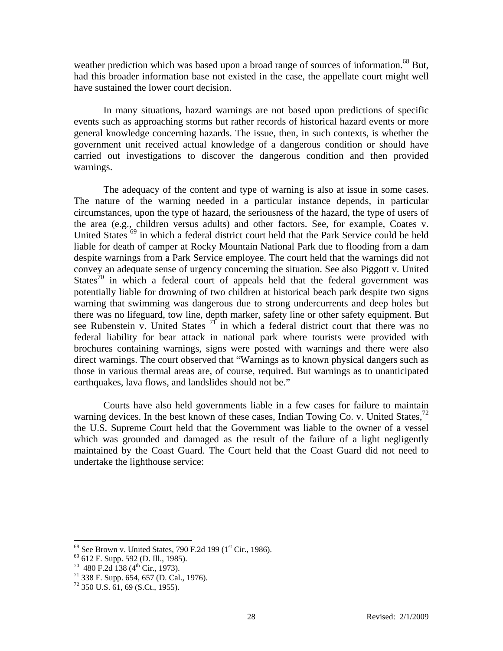weather prediction which was based upon a broad range of sources of information.<sup>68</sup> But, had this broader information base not existed in the case, the appellate court might well have sustained the lower court decision.

 In many situations, hazard warnings are not based upon predictions of specific events such as approaching storms but rather records of historical hazard events or more general knowledge concerning hazards. The issue, then, in such contexts, is whether the government unit received actual knowledge of a dangerous condition or should have carried out investigations to discover the dangerous condition and then provided warnings.

 The adequacy of the content and type of warning is also at issue in some cases. The nature of the warning needed in a particular instance depends, in particular circumstances, upon the type of hazard, the seriousness of the hazard, the type of users of the area (e.g., children versus adults) and other factors. See, for example, Coates v. United States <sup>69</sup> in which a federal district court held that the Park Service could be held liable for death of camper at Rocky Mountain National Park due to flooding from a dam despite warnings from a Park Service employee. The court held that the warnings did not convey an adequate sense of urgency concerning the situation. See also Piggott v. United States<sup>70</sup> in which a federal court of appeals held that the federal government was potentially liable for drowning of two children at historical beach park despite two signs warning that swimming was dangerous due to strong undercurrents and deep holes but there was no lifeguard, tow line, depth marker, safety line or other safety equipment. But see Rubenstein v. United States  $7<sup>1</sup>$  in which a federal district court that there was no federal liability for bear attack in national park where tourists were provided with brochures containing warnings, signs were posted with warnings and there were also direct warnings. The court observed that "Warnings as to known physical dangers such as those in various thermal areas are, of course, required. But warnings as to unanticipated earthquakes, lava flows, and landslides should not be."

 Courts have also held governments liable in a few cases for failure to maintain warning devices. In the best known of these cases, Indian Towing Co. v. United States,  $^{72}$ the U.S. Supreme Court held that the Government was liable to the owner of a vessel which was grounded and damaged as the result of the failure of a light negligently maintained by the Coast Guard. The Court held that the Coast Guard did not need to undertake the lighthouse service:

<sup>&</sup>lt;sup>68</sup> See Brown v. United States, 790 F.2d 199 (1<sup>st</sup> Cir., 1986). <sup>69</sup> 612 F. Supp. 592 (D. Ill., 1985).

 $^{69}$  612 F. Supp. 592 (D. Ill., 1985).<br>  $^{70}$  480 F.2d 138 (4<sup>th</sup> Cir., 1973).<br>
<sup>71</sup> 338 F. Supp. 654, 657 (D. Cal., 1976).

 $72$  350 U.S. 61, 69 (S.Ct., 1955).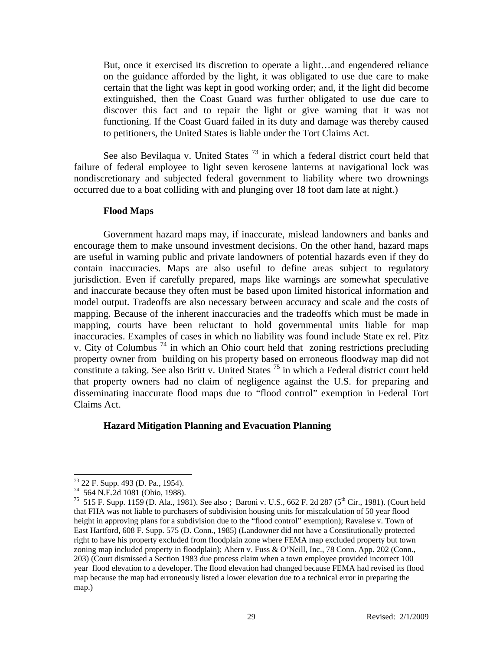But, once it exercised its discretion to operate a light…and engendered reliance on the guidance afforded by the light, it was obligated to use due care to make certain that the light was kept in good working order; and, if the light did become extinguished, then the Coast Guard was further obligated to use due care to discover this fact and to repair the light or give warning that it was not functioning. If the Coast Guard failed in its duty and damage was thereby caused to petitioners, the United States is liable under the Tort Claims Act.

See also Bevilaqua v. United States  $^{73}$  in which a federal district court held that failure of federal employee to light seven kerosene lanterns at navigational lock was nondiscretionary and subjected federal government to liability where two drownings occurred due to a boat colliding with and plunging over 18 foot dam late at night.)

#### **Flood Maps**

 Government hazard maps may, if inaccurate, mislead landowners and banks and encourage them to make unsound investment decisions. On the other hand, hazard maps are useful in warning public and private landowners of potential hazards even if they do contain inaccuracies. Maps are also useful to define areas subject to regulatory jurisdiction. Even if carefully prepared, maps like warnings are somewhat speculative and inaccurate because they often must be based upon limited historical information and model output. Tradeoffs are also necessary between accuracy and scale and the costs of mapping. Because of the inherent inaccuracies and the tradeoffs which must be made in mapping, courts have been reluctant to hold governmental units liable for map inaccuracies. Examples of cases in which no liability was found include State ex rel. Pitz v. City of Columbus  $^{74}$  in which an Ohio court held that zoning restrictions precluding property owner from building on his property based on erroneous floodway map did not constitute a taking. See also Britt v. United States  $^{75}$  in which a Federal district court held that property owners had no claim of negligence against the U.S. for preparing and disseminating inaccurate flood maps due to "flood control" exemption in Federal Tort Claims Act.

#### **Hazard Mitigation Planning and Evacuation Planning**

<sup>73 22</sup> F. Supp. 493 (D. Pa., 1954).

<sup>74 564</sup> N.E.2d 1081 (Ohio, 1988).

<sup>&</sup>lt;sup>75</sup> 515 F. Supp. 1159 (D. Ala., 1981). See also; Baroni v. U.S., 662 F. 2d 287 (5<sup>th</sup> Cir., 1981). (Court held that FHA was not liable to purchasers of subdivision housing units for miscalculation of 50 year flood height in approving plans for a subdivision due to the "flood control" exemption); Ravalese v. Town of East Hartford, 608 F. Supp. 575 (D. Conn., 1985) (Landowner did not have a Constitutionally protected right to have his property excluded from floodplain zone where FEMA map excluded property but town zoning map included property in floodplain); Ahern v. Fuss & O'Neill, Inc., 78 Conn. App. 202 (Conn., 203) (Court dismissed a Section 1983 due process claim when a town employee provided incorrect 100 year flood elevation to a developer. The flood elevation had changed because FEMA had revised its flood map because the map had erroneously listed a lower elevation due to a technical error in preparing the map.)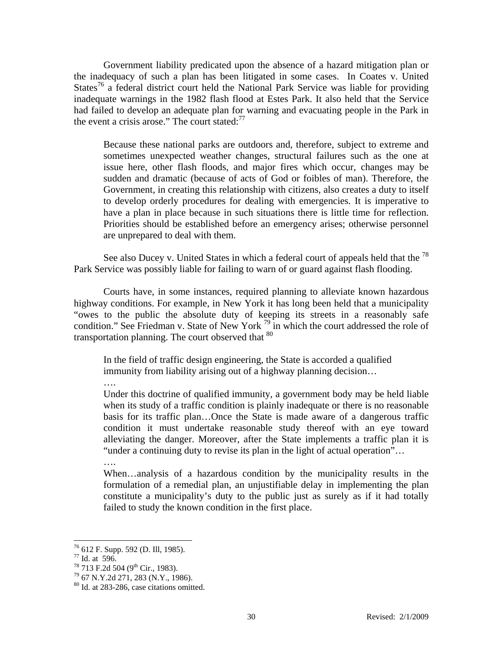Government liability predicated upon the absence of a hazard mitigation plan or the inadequacy of such a plan has been litigated in some cases. In Coates v. United States<sup>76</sup> a federal district court held the National Park Service was liable for providing inadequate warnings in the 1982 flash flood at Estes Park. It also held that the Service had failed to develop an adequate plan for warning and evacuating people in the Park in the event a crisis arose." The court stated:<sup>77</sup>

Because these national parks are outdoors and, therefore, subject to extreme and sometimes unexpected weather changes, structural failures such as the one at issue here, other flash floods, and major fires which occur, changes may be sudden and dramatic (because of acts of God or foibles of man). Therefore, the Government, in creating this relationship with citizens, also creates a duty to itself to develop orderly procedures for dealing with emergencies. It is imperative to have a plan in place because in such situations there is little time for reflection. Priorities should be established before an emergency arises; otherwise personnel are unprepared to deal with them.

See also Ducey v. United States in which a federal court of appeals held that the  $^{78}$ Park Service was possibly liable for failing to warn of or guard against flash flooding.

 Courts have, in some instances, required planning to alleviate known hazardous highway conditions. For example, in New York it has long been held that a municipality "owes to the public the absolute duty of keeping its streets in a reasonably safe condition." See Friedman v. State of New York <sup>79</sup> in which the court addressed the role of transportation planning. The court observed that  $80$ 

In the field of traffic design engineering, the State is accorded a qualified immunity from liability arising out of a highway planning decision…

….

Under this doctrine of qualified immunity, a government body may be held liable when its study of a traffic condition is plainly inadequate or there is no reasonable basis for its traffic plan…Once the State is made aware of a dangerous traffic condition it must undertake reasonable study thereof with an eye toward alleviating the danger. Moreover, after the State implements a traffic plan it is "under a continuing duty to revise its plan in the light of actual operation"…

….

When…analysis of a hazardous condition by the municipality results in the formulation of a remedial plan, an unjustifiable delay in implementing the plan constitute a municipality's duty to the public just as surely as if it had totally failed to study the known condition in the first place.

<sup>76 612</sup> F. Supp. 592 (D. Ill, 1985).

 $^{77}$  Id. at 596.<br><sup>78</sup> 713 F.2d 504 (9<sup>th</sup> Cir., 1983).

 $79\,67\,\mathrm{N.Y}.2d\,271, 283\,\mathrm{(N.Y.,\,1986)}.$ 

<sup>80</sup> Id. at 283-286, case citations omitted.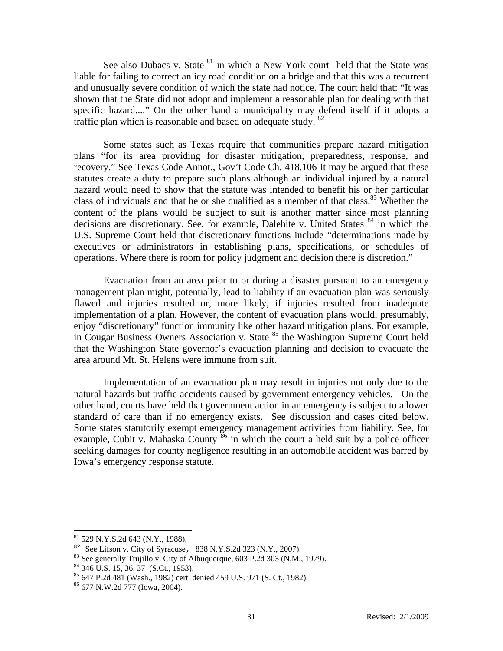See also Dubacs v. State <sup>81</sup> in which a New York court held that the State was liable for failing to correct an icy road condition on a bridge and that this was a recurrent and unusually severe condition of which the state had notice. The court held that: "It was shown that the State did not adopt and implement a reasonable plan for dealing with that specific hazard...." On the other hand a municipality may defend itself if it adopts a traffic plan which is reasonable and based on adequate study. <sup>82</sup>

 Some states such as Texas require that communities prepare hazard mitigation plans "for its area providing for disaster mitigation, preparedness, response, and recovery." See Texas Code Annot., Gov't Code Ch. 418.106 It may be argued that these statutes create a duty to prepare such plans although an individual injured by a natural hazard would need to show that the statute was intended to benefit his or her particular class of individuals and that he or she qualified as a member of that class.<sup>83</sup> Whether the content of the plans would be subject to suit is another matter since most planning decisions are discretionary. See, for example, Dalehite v. United States <sup>84</sup> in which the U.S. Supreme Court held that discretionary functions include "determinations made by executives or administrators in establishing plans, specifications, or schedules of operations. Where there is room for policy judgment and decision there is discretion."

 Evacuation from an area prior to or during a disaster pursuant to an emergency management plan might, potentially, lead to liability if an evacuation plan was seriously flawed and injuries resulted or, more likely, if injuries resulted from inadequate implementation of a plan. However, the content of evacuation plans would, presumably, enjoy "discretionary" function immunity like other hazard mitigation plans. For example, in Cougar Business Owners Association v. State <sup>85</sup> the Washington Supreme Court held that the Washington State governor's evacuation planning and decision to evacuate the area around Mt. St. Helens were immune from suit.

 Implementation of an evacuation plan may result in injuries not only due to the natural hazards but traffic accidents caused by government emergency vehicles. On the other hand, courts have held that government action in an emergency is subject to a lower standard of care than if no emergency exists. See discussion and cases cited below. Some states statutorily exempt emergency management activities from liability. See, for example, Cubit v. Mahaska County  $\frac{86}{6}$  in which the court a held suit by a police officer seeking damages for county negligence resulting in an automobile accident was barred by Iowa's emergency response statute.

 $\overline{a}$ 

 $81$  529 N.Y.S.2d 643 (N.Y., 1988).

<sup>&</sup>lt;sup>82</sup> See Lifson v. City of Syracuse, 838 N.Y.S.2d 323 (N.Y., 2007).<br><sup>83</sup> See generally Trujillo v. City of Albuquerque, 603 P.2d 303 (N.M., 1979).

 $84$  346 U.S. 15, 36, 37 (S.Ct., 1953).

<sup>85 647</sup> P.2d 481 (Wash., 1982) cert. denied 459 U.S. 971 (S. Ct., 1982).

<sup>86 677</sup> N.W.2d 777 (Iowa, 2004).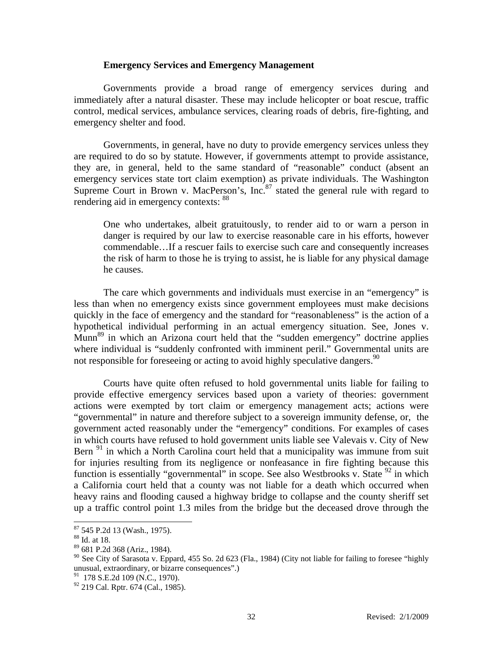#### **Emergency Services and Emergency Management**

 Governments provide a broad range of emergency services during and immediately after a natural disaster. These may include helicopter or boat rescue, traffic control, medical services, ambulance services, clearing roads of debris, fire-fighting, and emergency shelter and food.

 Governments, in general, have no duty to provide emergency services unless they are required to do so by statute. However, if governments attempt to provide assistance, they are, in general, held to the same standard of "reasonable" conduct (absent an emergency services state tort claim exemption) as private individuals. The Washington Supreme Court in Brown v. MacPerson's,  $Inc<sup>87</sup>$  stated the general rule with regard to rendering aid in emergency contexts: <sup>88</sup>

One who undertakes, albeit gratuitously, to render aid to or warn a person in danger is required by our law to exercise reasonable care in his efforts, however commendable…If a rescuer fails to exercise such care and consequently increases the risk of harm to those he is trying to assist, he is liable for any physical damage he causes.

 The care which governments and individuals must exercise in an "emergency" is less than when no emergency exists since government employees must make decisions quickly in the face of emergency and the standard for "reasonableness" is the action of a hypothetical individual performing in an actual emergency situation. See, Jones v. Munn<sup>89</sup> in which an Arizona court held that the "sudden emergency" doctrine applies where individual is "suddenly confronted with imminent peril." Governmental units are not responsible for foreseeing or acting to avoid highly speculative dangers.  $90$ 

 Courts have quite often refused to hold governmental units liable for failing to provide effective emergency services based upon a variety of theories: government actions were exempted by tort claim or emergency management acts; actions were "governmental" in nature and therefore subject to a sovereign immunity defense, or, the government acted reasonably under the "emergency" conditions. For examples of cases in which courts have refused to hold government units liable see Valevais v. City of New Bern  $91$  in which a North Carolina court held that a municipality was immune from suit for injuries resulting from its negligence or nonfeasance in fire fighting because this function is essentially "governmental" in scope. See also Westbrooks v. State  $92$  in which a California court held that a county was not liable for a death which occurred when heavy rains and flooding caused a highway bridge to collapse and the county sheriff set up a traffic control point 1.3 miles from the bridge but the deceased drove through the

 $87$  545 P.2d 13 (Wash., 1975).

<sup>88</sup> Id. at 18.

<sup>89 681</sup> P.2d 368 (Ariz., 1984).

 $90$  See City of Sarasota v. Eppard, 455 So. 2d 623 (Fla., 1984) (City not liable for failing to foresee "highly" unusual, extraordinary, or bizarre consequences".)<br><sup>91</sup> 178 S.E.2d 109 (N.C., 1970).

<sup>&</sup>lt;sup>92</sup> 219 Cal. Rptr. 674 (Cal., 1985).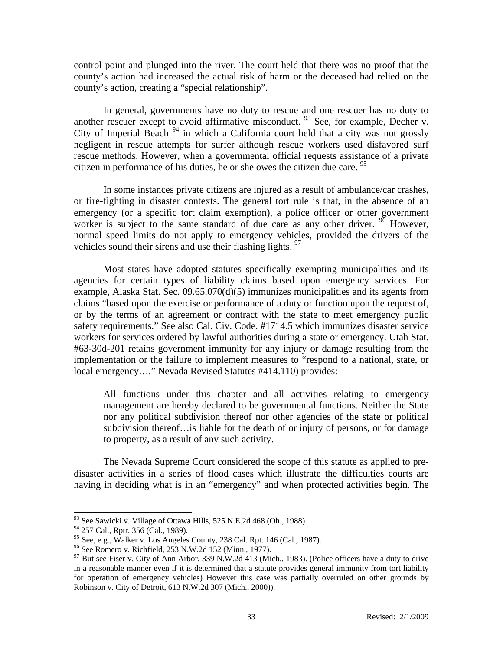control point and plunged into the river. The court held that there was no proof that the county's action had increased the actual risk of harm or the deceased had relied on the county's action, creating a "special relationship".

 In general, governments have no duty to rescue and one rescuer has no duty to another rescuer except to avoid affirmative misconduct.  $93$  See, for example, Decher v. City of Imperial Beach  $94$  in which a California court held that a city was not grossly negligent in rescue attempts for surfer although rescue workers used disfavored surf rescue methods. However, when a governmental official requests assistance of a private citizen in performance of his duties, he or she owes the citizen due care.  $95$ 

 In some instances private citizens are injured as a result of ambulance/car crashes, or fire-fighting in disaster contexts. The general tort rule is that, in the absence of an emergency (or a specific tort claim exemption), a police officer or other government worker is subject to the same standard of due care as any other driver.  $96$  However, normal speed limits do not apply to emergency vehicles, provided the drivers of the vehicles sound their sirens and use their flashing lights. <sup>97</sup>

 Most states have adopted statutes specifically exempting municipalities and its agencies for certain types of liability claims based upon emergency services. For example, Alaska Stat. Sec. 09.65.070(d)(5) immunizes municipalities and its agents from claims "based upon the exercise or performance of a duty or function upon the request of, or by the terms of an agreement or contract with the state to meet emergency public safety requirements." See also Cal. Civ. Code. #1714.5 which immunizes disaster service workers for services ordered by lawful authorities during a state or emergency. Utah Stat. #63-30d-201 retains government immunity for any injury or damage resulting from the implementation or the failure to implement measures to "respond to a national, state, or local emergency…." Nevada Revised Statutes #414.110) provides:

All functions under this chapter and all activities relating to emergency management are hereby declared to be governmental functions. Neither the State nor any political subdivision thereof nor other agencies of the state or political subdivision thereof…is liable for the death of or injury of persons, or for damage to property, as a result of any such activity.

 The Nevada Supreme Court considered the scope of this statute as applied to predisaster activities in a series of flood cases which illustrate the difficulties courts are having in deciding what is in an "emergency" and when protected activities begin. The

 $93$  See Sawicki v. Village of Ottawa Hills, 525 N.E.2d 468 (Oh., 1988).

<sup>&</sup>lt;sup>94</sup> 257 Cal., Rptr. 356 (Cal., 1989).

<sup>&</sup>lt;sup>95</sup> See, e.g., Walker v. Los Angeles County, 238 Cal. Rpt. 146 (Cal., 1987).<br><sup>96</sup> See Romero v. Richfield, 253 N.W.2d 152 (Minn., 1977).

 $97$  But see Fiser v. City of Ann Arbor, 339 N.W.2d 413 (Mich., 1983). (Police officers have a duty to drive in a reasonable manner even if it is determined that a statute provides general immunity from tort liability for operation of emergency vehicles) However this case was partially overruled on other grounds by Robinson v. City of Detroit, 613 N.W.2d 307 (Mich., 2000)).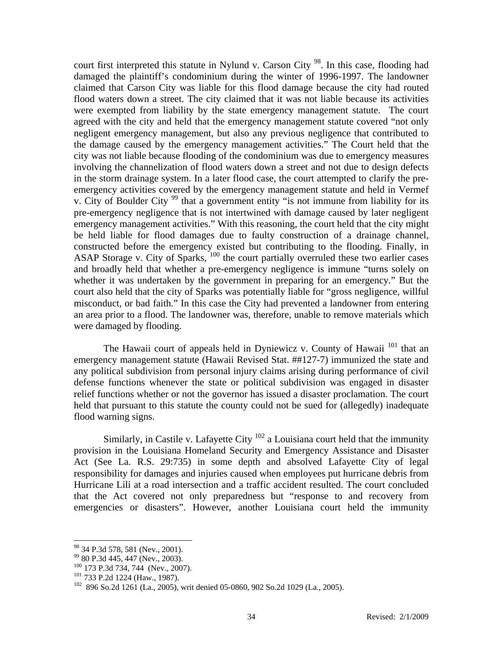court first interpreted this statute in Nylund v. Carson City<sup>98</sup>. In this case, flooding had damaged the plaintiff's condominium during the winter of 1996-1997. The landowner claimed that Carson City was liable for this flood damage because the city had routed flood waters down a street. The city claimed that it was not liable because its activities were exempted from liability by the state emergency management statute. The court agreed with the city and held that the emergency management statute covered "not only negligent emergency management, but also any previous negligence that contributed to the damage caused by the emergency management activities." The Court held that the city was not liable because flooding of the condominium was due to emergency measures involving the channelization of flood waters down a street and not due to design defects in the storm drainage system. In a later flood case, the court attempted to clarify the preemergency activities covered by the emergency management statute and held in Vermef v. City of Boulder City <sup>99</sup> that a government entity "is not immune from liability for its pre-emergency negligence that is not intertwined with damage caused by later negligent emergency management activities." With this reasoning, the court held that the city might be held liable for flood damages due to faulty construction of a drainage channel, constructed before the emergency existed but contributing to the flooding. Finally, in ASAP Storage v. City of Sparks, 100 the court partially overruled these two earlier cases and broadly held that whether a pre-emergency negligence is immune "turns solely on whether it was undertaken by the government in preparing for an emergency." But the court also held that the city of Sparks was potentially liable for "gross negligence, willful misconduct, or bad faith." In this case the City had prevented a landowner from entering an area prior to a flood. The landowner was, therefore, unable to remove materials which were damaged by flooding.

The Hawaii court of appeals held in Dyniewicz v. County of Hawaii  $^{101}$  that an emergency management statute (Hawaii Revised Stat. ##127-7) immunized the state and any political subdivision from personal injury claims arising during performance of civil defense functions whenever the state or political subdivision was engaged in disaster relief functions whether or not the governor has issued a disaster proclamation. The court held that pursuant to this statute the county could not be sued for (allegedly) inadequate flood warning signs.

Similarly, in Castile v. Lafayette City  $102$  a Louisiana court held that the immunity provision in the Louisiana Homeland Security and Emergency Assistance and Disaster Act (See La. R.S. 29:735) in some depth and absolved Lafayette City of legal responsibility for damages and injuries caused when employees put hurricane debris from Hurricane Lili at a road intersection and a traffic accident resulted. The court concluded that the Act covered not only preparedness but "response to and recovery from emergencies or disasters". However, another Louisiana court held the immunity

<sup>&</sup>lt;sup>98</sup> 34 P.3d 578, 581 (Nev., 2001).<br><sup>99</sup> 80 P.3d 445, 447 (Nev., 2003).

<sup>&</sup>lt;sup>100</sup> 173 P.3d 734, 744 (Nev., 2007).<br><sup>101</sup> 733 P.2d 1224 (Haw., 1987).<br><sup>102</sup> 896 So.2d 1261 (La., 2005), writ denied 05-0860, 902 So.2d 1029 (La., 2005).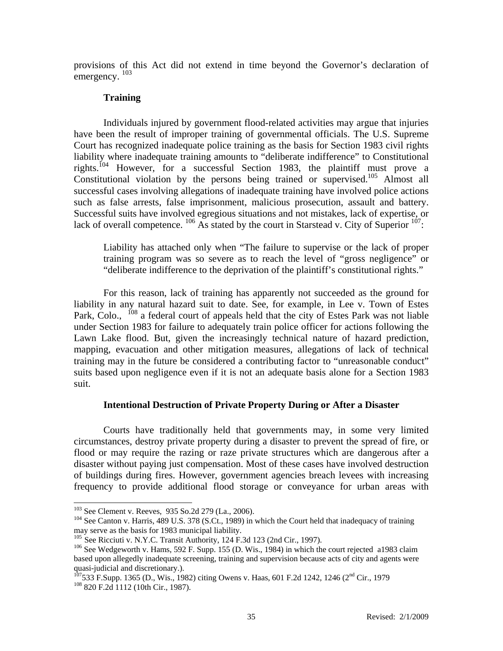provisions of this Act did not extend in time beyond the Governor's declaration of emergency.<sup>103</sup>

## **Training**

 Individuals injured by government flood-related activities may argue that injuries have been the result of improper training of governmental officials. The U.S. Supreme Court has recognized inadequate police training as the basis for Section 1983 civil rights liability where inadequate training amounts to "deliberate indifference" to Constitutional rights.104 However, for a successful Section 1983, the plaintiff must prove a Constitutional violation by the persons being trained or supervised.<sup>105</sup> Almost all successful cases involving allegations of inadequate training have involved police actions such as false arrests, false imprisonment, malicious prosecution, assault and battery. Successful suits have involved egregious situations and not mistakes, lack of expertise, or lack of overall competence.  $^{106}$  As stated by the court in Starstead v. City of Superior  $^{107}$ :

Liability has attached only when "The failure to supervise or the lack of proper training program was so severe as to reach the level of "gross negligence" or "deliberate indifference to the deprivation of the plaintiff's constitutional rights."

 For this reason, lack of training has apparently not succeeded as the ground for liability in any natural hazard suit to date. See, for example, in Lee v. Town of Estes Park, Colo., <sup>108</sup> a federal court of appeals held that the city of Estes Park was not liable under Section 1983 for failure to adequately train police officer for actions following the Lawn Lake flood. But, given the increasingly technical nature of hazard prediction, mapping, evacuation and other mitigation measures, allegations of lack of technical training may in the future be considered a contributing factor to "unreasonable conduct" suits based upon negligence even if it is not an adequate basis alone for a Section 1983 suit.

## **Intentional Destruction of Private Property During or After a Disaster**

 Courts have traditionally held that governments may, in some very limited circumstances, destroy private property during a disaster to prevent the spread of fire, or flood or may require the razing or raze private structures which are dangerous after a disaster without paying just compensation. Most of these cases have involved destruction of buildings during fires. However, government agencies breach levees with increasing frequency to provide additional flood storage or conveyance for urban areas with

<sup>&</sup>lt;sup>103</sup> See Clement v. Reeves, 935 So.2d 279 (La., 2006).

 $104$  See Canton v. Harris, 489 U.S. 378 (S.Ct., 1989) in which the Court held that inadequacy of training may serve as the basis for 1983 municipal liability.<br><sup>105</sup> See Ricciuti v. N.Y.C. Transit Authority, 124 F.3d 123 (2nd Cir., 1997).

 $106$  See Wedgeworth v. Hams, 592 F. Supp. 155 (D. Wis., 1984) in which the court rejected a1983 claim based upon allegedly inadequate screening, training and supervision because acts of city and agents were quasi-judicial and discretionary.).

 $^{107}$ 533 F.Supp. 1365 (D., Wis., 1982) citing Owens v. Haas, 601 F.2d 1242, 1246 (2<sup>nd</sup> Cir., 1979 <sup>108</sup> 820 F.2d 1112 (10th Cir., 1987).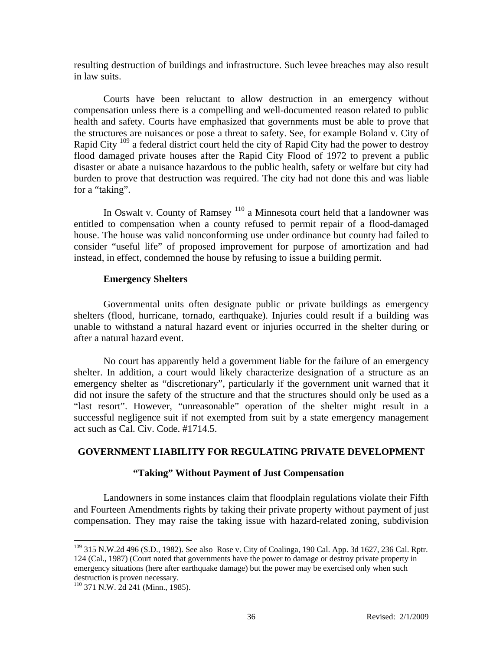resulting destruction of buildings and infrastructure. Such levee breaches may also result in law suits.

 Courts have been reluctant to allow destruction in an emergency without compensation unless there is a compelling and well-documented reason related to public health and safety. Courts have emphasized that governments must be able to prove that the structures are nuisances or pose a threat to safety. See, for example Boland v. City of Rapid City <sup>109</sup> a federal district court held the city of Rapid City had the power to destroy flood damaged private houses after the Rapid City Flood of 1972 to prevent a public disaster or abate a nuisance hazardous to the public health, safety or welfare but city had burden to prove that destruction was required. The city had not done this and was liable for a "taking".

In Oswalt v. County of Ramsey <sup>110</sup> a Minnesota court held that a landowner was entitled to compensation when a county refused to permit repair of a flood-damaged house. The house was valid nonconforming use under ordinance but county had failed to consider "useful life" of proposed improvement for purpose of amortization and had instead, in effect, condemned the house by refusing to issue a building permit.

#### **Emergency Shelters**

 Governmental units often designate public or private buildings as emergency shelters (flood, hurricane, tornado, earthquake). Injuries could result if a building was unable to withstand a natural hazard event or injuries occurred in the shelter during or after a natural hazard event.

 No court has apparently held a government liable for the failure of an emergency shelter. In addition, a court would likely characterize designation of a structure as an emergency shelter as "discretionary", particularly if the government unit warned that it did not insure the safety of the structure and that the structures should only be used as a "last resort". However, "unreasonable" operation of the shelter might result in a successful negligence suit if not exempted from suit by a state emergency management act such as Cal. Civ. Code. #1714.5.

#### **GOVERNMENT LIABILITY FOR REGULATING PRIVATE DEVELOPMENT**

## **"Taking" Without Payment of Just Compensation**

 Landowners in some instances claim that floodplain regulations violate their Fifth and Fourteen Amendments rights by taking their private property without payment of just compensation. They may raise the taking issue with hazard-related zoning, subdivision

<sup>&</sup>lt;sup>109</sup> 315 N.W.2d 496 (S.D., 1982). See also Rose v. City of Coalinga, 190 Cal. App. 3d 1627, 236 Cal. Rptr. 124 (Cal., 1987) (Court noted that governments have the power to damage or destroy private property in emergency situations (here after earthquake damage) but the power may be exercised only when such destruction is proven necessary.

<sup>110 371</sup> N.W. 2d 241 (Minn., 1985).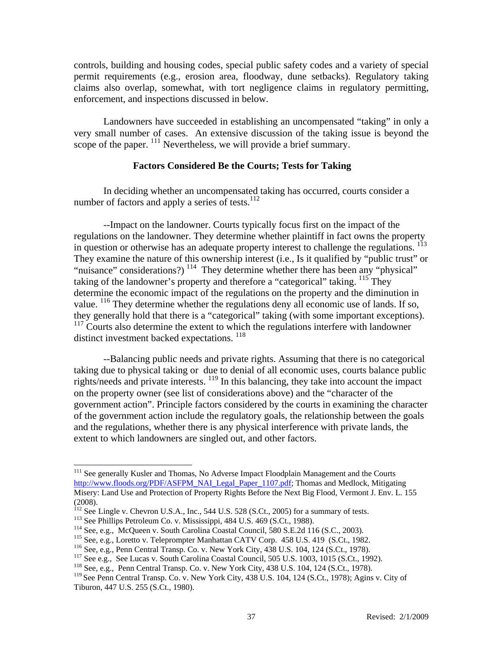controls, building and housing codes, special public safety codes and a variety of special permit requirements (e.g., erosion area, floodway, dune setbacks). Regulatory taking claims also overlap, somewhat, with tort negligence claims in regulatory permitting, enforcement, and inspections discussed in below.

 Landowners have succeeded in establishing an uncompensated "taking" in only a very small number of cases. An extensive discussion of the taking issue is beyond the scope of the paper. <sup>111</sup> Nevertheless, we will provide a brief summary.

#### **Factors Considered Be the Courts; Tests for Taking**

In deciding whether an uncompensated taking has occurred, courts consider a number of factors and apply a series of tests. $112$ 

--Impact on the landowner. Courts typically focus first on the impact of the regulations on the landowner. They determine whether plaintiff in fact owns the property in question or otherwise has an adequate property interest to challenge the regulations. <sup>113</sup> They examine the nature of this ownership interest (i.e., Is it qualified by "public trust" or "nuisance" considerations?)<sup>114</sup> They determine whether there has been any "physical" taking of the landowner's property and therefore a "categorical" taking. <sup>115</sup> They determine the economic impact of the regulations on the property and the diminution in value. 116 They determine whether the regulations deny all economic use of lands. If so, they generally hold that there is a "categorical" taking (with some important exceptions). <sup>117</sup> Courts also determine the extent to which the regulations interfere with landowner distinct investment backed expectations.  $^{118}$ 

--Balancing public needs and private rights. Assuming that there is no categorical taking due to physical taking or due to denial of all economic uses, courts balance public rights/needs and private interests. 119 In this balancing, they take into account the impact on the property owner (see list of considerations above) and the "character of the government action". Principle factors considered by the courts in examining the character of the government action include the regulatory goals, the relationship between the goals and the regulations, whether there is any physical interference with private lands, the extent to which landowners are singled out, and other factors.

<sup>&</sup>lt;sup>111</sup> See generally Kusler and Thomas, No Adverse Impact Floodplain Management and the Courts http://www.floods.org/PDF/ASFPM\_NAI\_Legal\_Paper\_1107.pdf; Thomas and Medlock, Mitigating Misery: Land Use and Protection of Property Rights Before the Next Big Flood, Vermont J. Env. L. 155 (2008).

<sup>&</sup>lt;sup>112</sup> See Lingle v. Chevron U.S.A., Inc., 544 U.S. 528 (S.Ct., 2005) for a summary of tests.<br><sup>113</sup> See Phillips Petroleum Co. v. Mississippi, 484 U.S. 469 (S.Ct., 1988).<br><sup>114</sup> See, e.g., McQueen v. South Carolina Coastal

<sup>&</sup>lt;sup>119</sup> See Penn Central Transp. Co. v. New York City, 438 U.S. 104, 124 (S.Ct., 1978); Agins v. City of Tiburon, 447 U.S. 255 (S.Ct., 1980).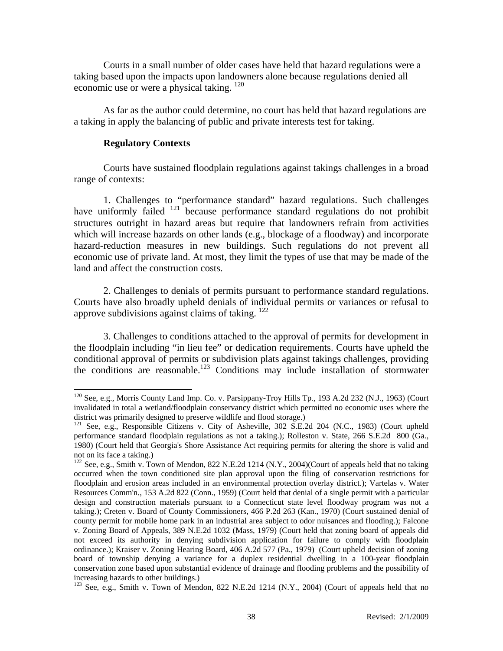Courts in a small number of older cases have held that hazard regulations were a taking based upon the impacts upon landowners alone because regulations denied all economic use or were a physical taking. 120

 As far as the author could determine, no court has held that hazard regulations are a taking in apply the balancing of public and private interests test for taking.

#### **Regulatory Contexts**

 $\overline{\phantom{a}}$ 

 Courts have sustained floodplain regulations against takings challenges in a broad range of contexts:

1. Challenges to "performance standard" hazard regulations. Such challenges have uniformly failed  $121$  because performance standard regulations do not prohibit structures outright in hazard areas but require that landowners refrain from activities which will increase hazards on other lands (e.g., blockage of a floodway) and incorporate hazard-reduction measures in new buildings. Such regulations do not prevent all economic use of private land. At most, they limit the types of use that may be made of the land and affect the construction costs.

 2. Challenges to denials of permits pursuant to performance standard regulations. Courts have also broadly upheld denials of individual permits or variances or refusal to approve subdivisions against claims of taking. 122

 3. Challenges to conditions attached to the approval of permits for development in the floodplain including "in lieu fee" or dedication requirements. Courts have upheld the conditional approval of permits or subdivision plats against takings challenges, providing the conditions are reasonable.<sup>123</sup> Conditions may include installation of stormwater

<sup>&</sup>lt;sup>120</sup> See, e.g., Morris County Land Imp. Co. v. Parsippany-Troy Hills Tp., 193 A.2d 232 (N.J., 1963) (Court invalidated in total a wetland/floodplain conservancy district which permitted no economic uses where the district was primarily designed to preserve wildlife and flood storage.)

<sup>&</sup>lt;sup>121</sup> See, e.g., Responsible Citizens v. City of Asheville, 302 S.E.2d 204 (N.C., 1983) (Court upheld performance standard floodplain regulations as not a taking.); Rolleston v. State, 266 S.E.2d 800 (Ga., 1980) (Court held that Georgia's Shore Assistance Act requiring permits for altering the shore is valid and not on its face a taking.)

<sup>&</sup>lt;sup>122</sup> See, e.g., Smith v. Town of Mendon, 822 N.E.2d 1214 (N.Y., 2004)(Court of appeals held that no taking occurred when the town conditioned site plan approval upon the filing of conservation restrictions for floodplain and erosion areas included in an environmental protection overlay district.); Vartelas v. Water Resources Comm'n., 153 A.2d 822 (Conn., 1959) (Court held that denial of a single permit with a particular design and construction materials pursuant to a Connecticut state level floodway program was not a taking.); Creten v. Board of County Commissioners, 466 P.2d 263 (Kan., 1970) (Court sustained denial of county permit for mobile home park in an industrial area subject to odor nuisances and flooding.); Falcone v. Zoning Board of Appeals, 389 N.E.2d 1032 (Mass, 1979) (Court held that zoning board of appeals did not exceed its authority in denying subdivision application for failure to comply with floodplain ordinance.); Kraiser v. Zoning Hearing Board, 406 A.2d 577 (Pa., 1979) (Court upheld decision of zoning board of township denying a variance for a duplex residential dwelling in a 100-year floodplain conservation zone based upon substantial evidence of drainage and flooding problems and the possibility of increasing hazards to other buildings.)

<sup>&</sup>lt;sup>123</sup> See, e.g., Smith v. Town of Mendon, 822 N.E.2d 1214 (N.Y., 2004) (Court of appeals held that no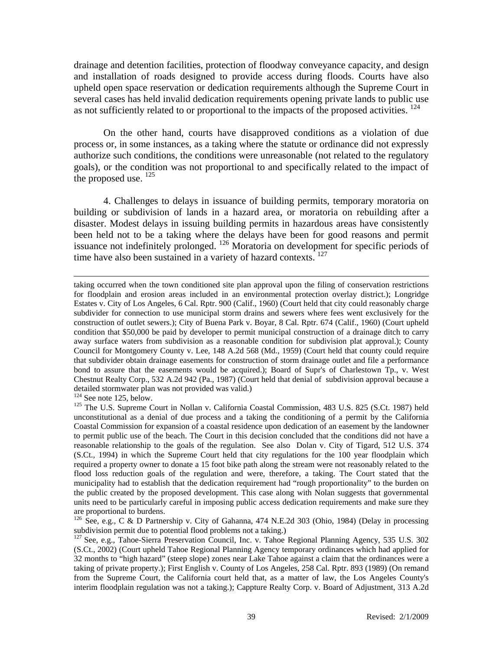drainage and detention facilities, protection of floodway conveyance capacity, and design and installation of roads designed to provide access during floods. Courts have also upheld open space reservation or dedication requirements although the Supreme Court in several cases has held invalid dedication requirements opening private lands to public use as not sufficiently related to or proportional to the impacts of the proposed activities.  $^{124}$ 

 On the other hand, courts have disapproved conditions as a violation of due process or, in some instances, as a taking where the statute or ordinance did not expressly authorize such conditions, the conditions were unreasonable (not related to the regulatory goals), or the condition was not proportional to and specifically related to the impact of the proposed use.  $^{125}$ 

 4. Challenges to delays in issuance of building permits, temporary moratoria on building or subdivision of lands in a hazard area, or moratoria on rebuilding after a disaster. Modest delays in issuing building permits in hazardous areas have consistently been held not to be a taking where the delays have been for good reasons and permit issuance not indefinitely prolonged. 126 Moratoria on development for specific periods of time have also been sustained in a variety of hazard contexts. <sup>127</sup>

taking occurred when the town conditioned site plan approval upon the filing of conservation restrictions for floodplain and erosion areas included in an environmental protection overlay district.); Longridge Estates v. City of Los Angeles, 6 Cal. Rptr. 900 (Calif., 1960) (Court held that city could reasonably charge subdivider for connection to use municipal storm drains and sewers where fees went exclusively for the construction of outlet sewers.); City of Buena Park v. Boyar, 8 Cal. Rptr. 674 (Calif., 1960) (Court upheld condition that \$50,000 be paid by developer to permit municipal construction of a drainage ditch to carry away surface waters from subdivision as a reasonable condition for subdivision plat approval.); County Council for Montgomery County v. Lee, 148 A.2d 568 (Md., 1959) (Court held that county could require that subdivider obtain drainage easements for construction of storm drainage outlet and file a performance bond to assure that the easements would be acquired.); Board of Supr's of Charlestown Tp., v. West Chestnut Realty Corp., 532 A.2d 942 (Pa., 1987) (Court held that denial of subdivision approval because a detailed stormwater plan was not provided was valid.)<br><sup>124</sup> See note 125, below.

<sup>&</sup>lt;sup>125</sup> The U.S. Supreme Court in Nollan v. California Coastal Commission, 483 U.S. 825 (S.Ct. 1987) held unconstitutional as a denial of due process and a taking the conditioning of a permit by the California Coastal Commission for expansion of a coastal residence upon dedication of an easement by the landowner to permit public use of the beach. The Court in this decision concluded that the conditions did not have a reasonable relationship to the goals of the regulation. See also Dolan v. City of Tigard, 512 U.S. 374 (S.Ct., 1994) in which the Supreme Court held that city regulations for the 100 year floodplain which required a property owner to donate a 15 foot bike path along the stream were not reasonably related to the flood loss reduction goals of the regulation and were, therefore, a taking. The Court stated that the municipality had to establish that the dedication requirement had "rough proportionality" to the burden on the public created by the proposed development. This case along with Nolan suggests that governmental units need to be particularly careful in imposing public access dedication requirements and make sure they are proportional to burdens.

<sup>&</sup>lt;sup>126</sup> See, e.g., C & D Partnership v. City of Gahanna, 474 N.E.2d 303 (Ohio, 1984) (Delay in processing subdivision permit due to potential flood problems not a taking.)

<sup>&</sup>lt;sup>127</sup> See, e.g., Tahoe-Sierra Preservation Council, Inc. v. Tahoe Regional Planning Agency, 535 U.S. 302 (S.Ct., 2002) (Court upheld Tahoe Regional Planning Agency temporary ordinances which had applied for 32 months to "high hazard" (steep slope) zones near Lake Tahoe against a claim that the ordinances were a taking of private property.); First English v. County of Los Angeles, 258 Cal. Rptr. 893 (1989) (On remand from the Supreme Court, the California court held that, as a matter of law, the Los Angeles County's interim floodplain regulation was not a taking.); Cappture Realty Corp. v. Board of Adjustment, 313 A.2d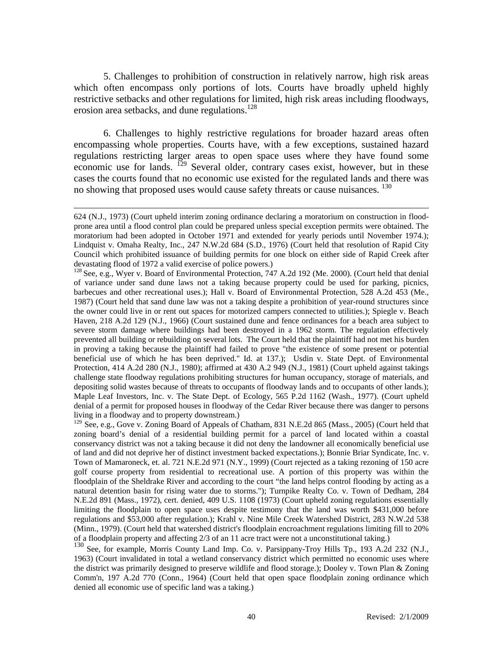5. Challenges to prohibition of construction in relatively narrow, high risk areas which often encompass only portions of lots. Courts have broadly upheld highly restrictive setbacks and other regulations for limited, high risk areas including floodways, erosion area setbacks, and dune regulations.<sup>128</sup>

 6. Challenges to highly restrictive regulations for broader hazard areas often encompassing whole properties. Courts have, with a few exceptions, sustained hazard regulations restricting larger areas to open space uses where they have found some economic use for lands. <sup>129</sup> Several older, contrary cases exist, however, but in these cases the courts found that no economic use existed for the regulated lands and there was no showing that proposed uses would cause safety threats or cause nuisances.<sup>130</sup>

 $\overline{\phantom{a}}$ 

<sup>129</sup> See, e.g., Gove v. Zoning Board of Appeals of Chatham, 831 N.E.2d 865 (Mass., 2005) (Court held that zoning board's denial of a residential building permit for a parcel of land located within a coastal conservancy district was not a taking because it did not deny the landowner all economically beneficial use of land and did not deprive her of distinct investment backed expectations.); Bonnie Briar Syndicate, Inc. v. Town of Mamaroneck, et. al. 721 N.E.2d 971 (N.Y., 1999) (Court rejected as a taking rezoning of 150 acre golf course property from residential to recreational use. A portion of this property was within the floodplain of the Sheldrake River and according to the court "the land helps control flooding by acting as a natural detention basin for rising water due to storms."); Turnpike Realty Co. v. Town of Dedham, 284 N.E.2d 891 (Mass., 1972), cert. denied, 409 U.S. 1108 (1973) (Court upheld zoning regulations essentially limiting the floodplain to open space uses despite testimony that the land was worth \$431,000 before regulations and \$53,000 after regulation.); Krahl v. Nine Mile Creek Watershed District, 283 N.W.2d 538 (Minn., 1979). (Court held that watershed district's floodplain encroachment regulations limiting fill to 20% of a floodplain property and affecting 2/3 of an 11 acre tract were not a unconstitutional taking.)

<sup>130</sup> See, for example, Morris County Land Imp. Co. v. Parsippany-Troy Hills Tp., 193 A.2d 232 (N.J., 1963) (Court invalidated in total a wetland conservancy district which permitted no economic uses where the district was primarily designed to preserve wildlife and flood storage.); Dooley v. Town Plan & Zoning Comm'n, 197 A.2d 770 (Conn., 1964) (Court held that open space floodplain zoning ordinance which denied all economic use of specific land was a taking.)

<sup>624 (</sup>N.J., 1973) (Court upheld interim zoning ordinance declaring a moratorium on construction in floodprone area until a flood control plan could be prepared unless special exception permits were obtained. The moratorium had been adopted in October 1971 and extended for yearly periods until November 1974.); Lindquist v. Omaha Realty, Inc., 247 N.W.2d 684 (S.D., 1976) (Court held that resolution of Rapid City Council which prohibited issuance of building permits for one block on either side of Rapid Creek after devastating flood of 1972 a valid exercise of police powers.)

<sup>&</sup>lt;sup>128</sup> See, e.g., Wyer v. Board of Environmental Protection, 747 A.2d 192 (Me. 2000). (Court held that denial of variance under sand dune laws not a taking because property could be used for parking, picnics, barbecues and other recreational uses.); Hall v. Board of Environmental Protection, 528 A.2d 453 (Me., 1987) (Court held that sand dune law was not a taking despite a prohibition of year-round structures since the owner could live in or rent out spaces for motorized campers connected to utilities.); Spiegle v. Beach Haven, 218 A.2d 129 (N.J., 1966) (Court sustained dune and fence ordinances for a beach area subject to severe storm damage where buildings had been destroyed in a 1962 storm. The regulation effectively prevented all building or rebuilding on several lots. The Court held that the plaintiff had not met his burden in proving a taking because the plaintiff had failed to prove "the existence of some present or potential beneficial use of which he has been deprived." Id. at 137.); Usdin v. State Dept. of Environmental Protection, 414 A.2d 280 (N.J., 1980); affirmed at 430 A.2 949 (N.J., 1981) (Court upheld against takings challenge state floodway regulations prohibiting structures for human occupancy, storage of materials, and depositing solid wastes because of threats to occupants of floodway lands and to occupants of other lands.); Maple Leaf Investors, Inc. v. The State Dept. of Ecology, 565 P.2d 1162 (Wash., 1977). (Court upheld denial of a permit for proposed houses in floodway of the Cedar River because there was danger to persons living in a floodway and to property downstream.)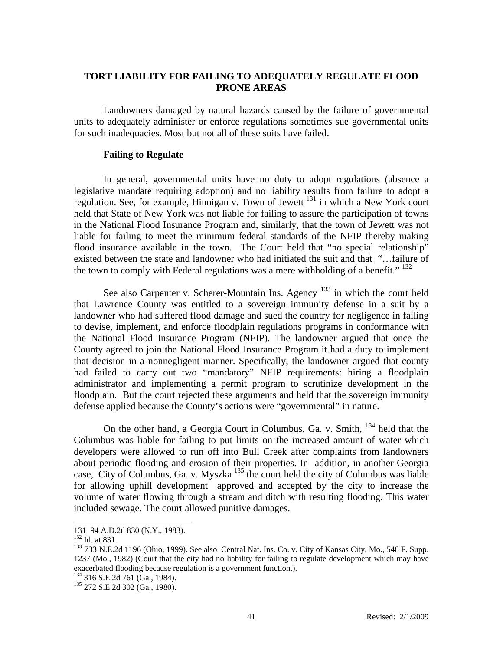## **TORT LIABILITY FOR FAILING TO ADEQUATELY REGULATE FLOOD PRONE AREAS**

 Landowners damaged by natural hazards caused by the failure of governmental units to adequately administer or enforce regulations sometimes sue governmental units for such inadequacies. Most but not all of these suits have failed.

## **Failing to Regulate**

 In general, governmental units have no duty to adopt regulations (absence a legislative mandate requiring adoption) and no liability results from failure to adopt a regulation. See, for example, Hinnigan v. Town of Jewett 131 in which a New York court held that State of New York was not liable for failing to assure the participation of towns in the National Flood Insurance Program and, similarly, that the town of Jewett was not liable for failing to meet the minimum federal standards of the NFIP thereby making flood insurance available in the town. The Court held that "no special relationship" existed between the state and landowner who had initiated the suit and that "…failure of the town to comply with Federal regulations was a mere withholding of a benefit."<sup>132</sup>

See also Carpenter v. Scherer-Mountain Ins. Agency  $133$  in which the court held that Lawrence County was entitled to a sovereign immunity defense in a suit by a landowner who had suffered flood damage and sued the country for negligence in failing to devise, implement, and enforce floodplain regulations programs in conformance with the National Flood Insurance Program (NFIP). The landowner argued that once the County agreed to join the National Flood Insurance Program it had a duty to implement that decision in a nonnegligent manner. Specifically, the landowner argued that county had failed to carry out two "mandatory" NFIP requirements: hiring a floodplain administrator and implementing a permit program to scrutinize development in the floodplain. But the court rejected these arguments and held that the sovereign immunity defense applied because the County's actions were "governmental" in nature.

On the other hand, a Georgia Court in Columbus, Ga. v. Smith,  $^{134}$  held that the Columbus was liable for failing to put limits on the increased amount of water which developers were allowed to run off into Bull Creek after complaints from landowners about periodic flooding and erosion of their properties. In addition, in another Georgia case, City of Columbus, Ga. v. Myszka<sup>135</sup> the court held the city of Columbus was liable for allowing uphill development approved and accepted by the city to increase the volume of water flowing through a stream and ditch with resulting flooding. This water included sewage. The court allowed punitive damages.

<sup>131 94</sup> A.D.2d 830 (N.Y., 1983).

<sup>&</sup>lt;sup>133</sup> 733 N.E.2d 1196 (Ohio, 1999). See also Central Nat. Ins. Co. v. City of Kansas City, Mo., 546 F. Supp. 1237 (Mo., 1982) (Court that the city had no liability for failing to regulate development which may have exacerbated flooding because regulation is a government function.).<br><sup>134</sup> 316 S.E.2d 761 (Ga., 1984).<br><sup>135</sup> 272 S.E.2d 302 (Ga., 1980).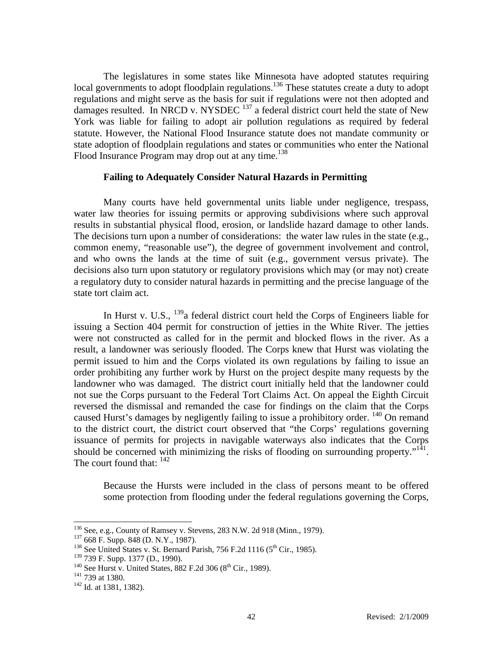The legislatures in some states like Minnesota have adopted statutes requiring local governments to adopt floodplain regulations.<sup>136</sup> These statutes create a duty to adopt regulations and might serve as the basis for suit if regulations were not then adopted and damages resulted. In NRCD v. NYSDEC  $^{137}$  a federal district court held the state of New York was liable for failing to adopt air pollution regulations as required by federal statute. However, the National Flood Insurance statute does not mandate community or state adoption of floodplain regulations and states or communities who enter the National Flood Insurance Program may drop out at any time.<sup>138</sup>

## **Failing to Adequately Consider Natural Hazards in Permitting**

 Many courts have held governmental units liable under negligence, trespass, water law theories for issuing permits or approving subdivisions where such approval results in substantial physical flood, erosion, or landslide hazard damage to other lands. The decisions turn upon a number of considerations: the water law rules in the state (e.g., common enemy, "reasonable use"), the degree of government involvement and control, and who owns the lands at the time of suit (e.g., government versus private). The decisions also turn upon statutory or regulatory provisions which may (or may not) create a regulatory duty to consider natural hazards in permitting and the precise language of the state tort claim act.

 In Hurst v. U.S., 139a federal district court held the Corps of Engineers liable for issuing a Section 404 permit for construction of jetties in the White River. The jetties were not constructed as called for in the permit and blocked flows in the river. As a result, a landowner was seriously flooded. The Corps knew that Hurst was violating the permit issued to him and the Corps violated its own regulations by failing to issue an order prohibiting any further work by Hurst on the project despite many requests by the landowner who was damaged. The district court initially held that the landowner could not sue the Corps pursuant to the Federal Tort Claims Act. On appeal the Eighth Circuit reversed the dismissal and remanded the case for findings on the claim that the Corps caused Hurst's damages by negligently failing to issue a prohibitory order. <sup>140</sup> On remand to the district court, the district court observed that "the Corps' regulations governing issuance of permits for projects in navigable waterways also indicates that the Corps should be concerned with minimizing the risks of flooding on surrounding property." $141$ . The court found that:  $142$ 

Because the Hursts were included in the class of persons meant to be offered some protection from flooding under the federal regulations governing the Corps,

<sup>&</sup>lt;sup>136</sup> See, e.g., County of Ramsey v. Stevens, 283 N.W. 2d 918 (Minn., 1979).<br><sup>137</sup> 668 F. Supp. 848 (D. N.Y., 1987).<br><sup>138</sup> See United States v. St. Bernard Parish, 756 F.2d 1116 (5<sup>th</sup> Cir., 1985).

<sup>&</sup>lt;sup>139</sup> 739 F. Supp. 1377 (D., 1990).<br><sup>140</sup> See Hurst v. United States, 882 F.2d 306 (8<sup>th</sup> Cir., 1989).<br><sup>141</sup> 739 at 1380.<br><sup>142</sup> Id. at 1381, 1382).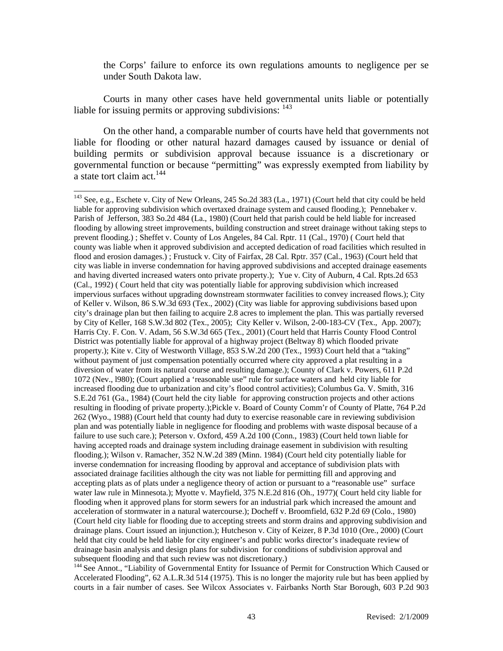the Corps' failure to enforce its own regulations amounts to negligence per se under South Dakota law.

 Courts in many other cases have held governmental units liable or potentially liable for issuing permits or approving subdivisions: <sup>143</sup>

 On the other hand, a comparable number of courts have held that governments not liable for flooding or other natural hazard damages caused by issuance or denial of building permits or subdivision approval because issuance is a discretionary or governmental function or because "permitting" was expressly exempted from liability by a state tort claim act.<sup>144</sup>

 $\overline{\phantom{a}}$ 

<sup>144</sup> See Annot., "Liability of Governmental Entity for Issuance of Permit for Construction Which Caused or Accelerated Flooding", 62 A.L.R.3d 514 (1975). This is no longer the majority rule but has been applied by courts in a fair number of cases. See Wilcox Associates v. Fairbanks North Star Borough, 603 P.2d 903

<sup>&</sup>lt;sup>143</sup> See, e.g., Eschete v. City of New Orleans, 245 So.2d 383 (La., 1971) (Court held that city could be held liable for approving subdivision which overtaxed drainage system and caused flooding.); Pennebaker v. Parish of Jefferson, 383 So.2d 484 (La., 1980) (Court held that parish could be held liable for increased flooding by allowing street improvements, building construction and street drainage without taking steps to prevent flooding.) ; Sheffet v. County of Los Angeles, 84 Cal. Rptr. 11 (Cal., 1970) ( Court held that county was liable when it approved subdivision and accepted dedication of road facilities which resulted in flood and erosion damages.) ; Frustuck v. City of Fairfax, 28 Cal. Rptr. 357 (Cal., 1963) (Court held that city was liable in inverse condemnation for having approved subdivisions and accepted drainage easements and having diverted increased waters onto private property.); Yue v. City of Auburn, 4 Cal. Rpts.2d 653 (Cal., 1992) ( Court held that city was potentially liable for approving subdivision which increased impervious surfaces without upgrading downstream stormwater facilities to convey increased flows.); City of Keller v. Wilson, 86 S.W.3d 693 (Tex., 2002) (City was liable for approving subdivisions based upon city's drainage plan but then failing to acquire 2.8 acres to implement the plan. This was partially reversed by City of Keller, 168 S.W.3d 802 (Tex., 2005); City Keller v. Wilson, 2-00-183-CV (Tex., App. 2007); Harris Cty. F. Con. V. Adam, 56 S.W.3d 665 (Tex., 2001) (Court held that Harris County Flood Control District was potentially liable for approval of a highway project (Beltway 8) which flooded private property.); Kite v. City of Westworth Village, 853 S.W.2d 200 (Tex., 1993) Court held that a "taking" without payment of just compensation potentially occurred where city approved a plat resulting in a diversion of water from its natural course and resulting damage.); County of Clark v. Powers, 611 P.2d 1072 (Nev., l980); (Court applied a 'reasonable use" rule for surface waters and held city liable for increased flooding due to urbanization and city's flood control activities); Columbus Ga. V. Smith, 316 S.E.2d 761 (Ga., 1984) (Court held the city liable for approving construction projects and other actions resulting in flooding of private property.);Pickle v. Board of County Comm'r of County of Platte, 764 P.2d 262 (Wyo., 1988) (Court held that county had duty to exercise reasonable care in reviewing subdivision plan and was potentially liable in negligence for flooding and problems with waste disposal because of a failure to use such care.); Peterson v. Oxford, 459 A.2d 100 (Conn., 1983) (Court held town liable for having accepted roads and drainage system including drainage easement in subdivision with resulting flooding.); Wilson v. Ramacher, 352 N.W.2d 389 (Minn. 1984) (Court held city potentially liable for inverse condemnation for increasing flooding by approval and acceptance of subdivision plats with associated drainage facilities although the city was not liable for permitting fill and approving and accepting plats as of plats under a negligence theory of action or pursuant to a "reasonable use" surface water law rule in Minnesota.); Myotte v. Mayfield, 375 N.E.2d 816 (Oh., 1977)( Court held city liable for flooding when it approved plans for storm sewers for an industrial park which increased the amount and acceleration of stormwater in a natural watercourse.); Docheff v. Broomfield, 632 P.2d 69 (Colo., 1980) (Court held city liable for flooding due to accepting streets and storm drains and approving subdivision and drainage plans. Court issued an injunction.); Hutcheson v. City of Keizer, 8 P.3d 1010 (Ore., 2000) (Court held that city could be held liable for city engineer's and public works director's inadequate review of drainage basin analysis and design plans for subdivision for conditions of subdivision approval and subsequent flooding and that such review was not discretionary.)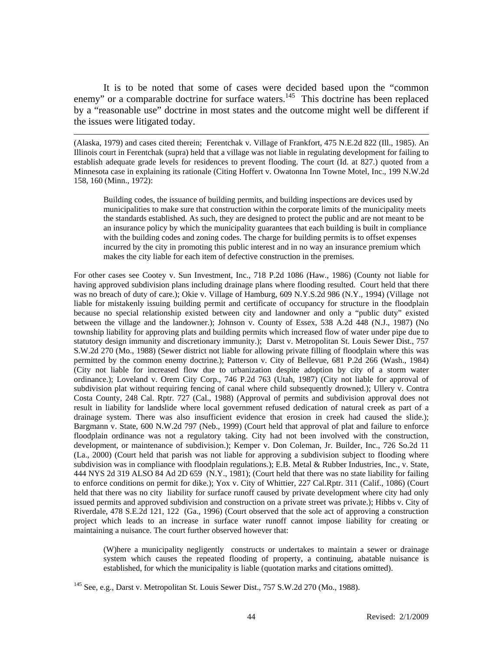It is to be noted that some of cases were decided based upon the "common enemy" or a comparable doctrine for surface waters.<sup>145</sup> This doctrine has been replaced by a "reasonable use" doctrine in most states and the outcome might well be different if the issues were litigated today.

 $\overline{\phantom{a}}$ 

(Alaska, 1979) and cases cited therein; Ferentchak v. Village of Frankfort, 475 N.E.2d 822 (Ill., 1985). An Illinois court in Ferentchak (supra) held that a village was not liable in regulating development for failing to establish adequate grade levels for residences to prevent flooding. The court (Id. at 827.) quoted from a Minnesota case in explaining its rationale (Citing Hoffert v. Owatonna Inn Towne Motel, Inc., 199 N.W.2d 158, 160 (Minn., 1972):

Building codes, the issuance of building permits, and building inspections are devices used by municipalities to make sure that construction within the corporate limits of the municipality meets the standards established. As such, they are designed to protect the public and are not meant to be an insurance policy by which the municipality guarantees that each building is built in compliance with the building codes and zoning codes. The charge for building permits is to offset expenses incurred by the city in promoting this public interest and in no way an insurance premium which makes the city liable for each item of defective construction in the premises.

For other cases see Cootey v. Sun Investment, Inc., 718 P.2d 1086 (Haw., 1986) (County not liable for having approved subdivision plans including drainage plans where flooding resulted. Court held that there was no breach of duty of care.); Okie v. Village of Hamburg, 609 N.Y.S.2d 986 (N.Y., 1994) (Village not liable for mistakenly issuing building permit and certificate of occupancy for structure in the floodplain because no special relationship existed between city and landowner and only a "public duty" existed between the village and the landowner.); Johnson v. County of Essex, 538 A.2d 448 (N.J., 1987) (No township liability for approving plats and building permits which increased flow of water under pipe due to statutory design immunity and discretionary immunity.); Darst v. Metropolitan St. Louis Sewer Dist., 757 S.W.2d 270 (Mo., 1988) (Sewer district not liable for allowing private filling of floodplain where this was permitted by the common enemy doctrine.); Patterson v. City of Bellevue, 681 P.2d 266 (Wash., 1984) (City not liable for increased flow due to urbanization despite adoption by city of a storm water ordinance.); Loveland v. Orem City Corp., 746 P.2d 763 (Utah, 1987) (City not liable for approval of subdivision plat without requiring fencing of canal where child subsequently drowned.); Ullery v. Contra Costa County, 248 Cal. Rptr. 727 (Cal., 1988) (Approval of permits and subdivision approval does not result in liability for landslide where local government refused dedication of natural creek as part of a drainage system. There was also insufficient evidence that erosion in creek had caused the slide.); Bargmann v. State, 600 N.W.2d 797 (Neb., 1999) (Court held that approval of plat and failure to enforce floodplain ordinance was not a regulatory taking. City had not been involved with the construction, development, or maintenance of subdivision.); Kemper v. Don Coleman, Jr. Builder, Inc., 726 So.2d 11 (La., 2000) (Court held that parish was not liable for approving a subdivision subject to flooding where subdivision was in compliance with floodplain regulations.); E.B. Metal & Rubber Industries, Inc., v. State, 444 NYS 2d 319 ALSO 84 Ad 2D 659 (N.Y., 1981); (Court held that there was no state liability for failing to enforce conditions on permit for dike.); Yox v. City of Whittier, 227 Cal.Rptr. 311 (Calif., 1086) (Court held that there was no city liability for surface runoff caused by private development where city had only issued permits and approved subdivision and construction on a private street was private.); Hibbs v. City of Riverdale, 478 S.E.2d 121, 122 (Ga., 1996) (Court observed that the sole act of approving a construction project which leads to an increase in surface water runoff cannot impose liability for creating or maintaining a nuisance. The court further observed however that:

(W)here a municipality negligently constructs or undertakes to maintain a sewer or drainage system which causes the repeated flooding of property, a continuing, abatable nuisance is established, for which the municipality is liable (quotation marks and citations omitted).

<sup>145</sup> See, e.g., Darst v. Metropolitan St. Louis Sewer Dist., 757 S.W.2d 270 (Mo., 1988).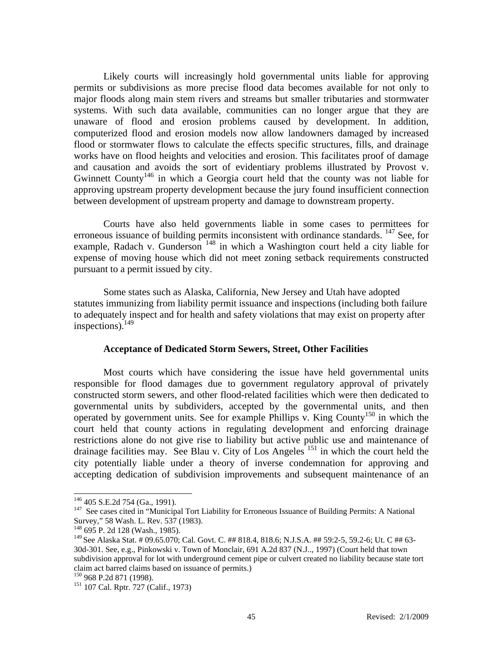Likely courts will increasingly hold governmental units liable for approving permits or subdivisions as more precise flood data becomes available for not only to major floods along main stem rivers and streams but smaller tributaries and stormwater systems. With such data available, communities can no longer argue that they are unaware of flood and erosion problems caused by development. In addition, computerized flood and erosion models now allow landowners damaged by increased flood or stormwater flows to calculate the effects specific structures, fills, and drainage works have on flood heights and velocities and erosion. This facilitates proof of damage and causation and avoids the sort of evidentiary problems illustrated by Provost v. Gwinnett County<sup>146</sup> in which a Georgia court held that the county was not liable for approving upstream property development because the jury found insufficient connection between development of upstream property and damage to downstream property.

 Courts have also held governments liable in some cases to permittees for erroneous issuance of building permits inconsistent with ordinance standards. <sup>147</sup> See, for example, Radach v. Gunderson  $148$  in which a Washington court held a city liable for expense of moving house which did not meet zoning setback requirements constructed pursuant to a permit issued by city.

Some states such as Alaska, California, New Jersey and Utah have adopted statutes immunizing from liability permit issuance and inspections (including both failure to adequately inspect and for health and safety violations that may exist on property after inspections). $^{149}$ 

#### **Acceptance of Dedicated Storm Sewers, Street, Other Facilities**

 Most courts which have considering the issue have held governmental units responsible for flood damages due to government regulatory approval of privately constructed storm sewers, and other flood-related facilities which were then dedicated to governmental units by subdividers, accepted by the governmental units, and then operated by government units. See for example Phillips v. King County<sup>150</sup> in which the court held that county actions in regulating development and enforcing drainage restrictions alone do not give rise to liability but active public use and maintenance of drainage facilities may. See Blau v. City of Los Angeles<sup>151</sup> in which the court held the city potentially liable under a theory of inverse condemnation for approving and accepting dedication of subdivision improvements and subsequent maintenance of an

<sup>&</sup>lt;sup>146</sup> 405 S.E.2d 754 (Ga., 1991).<br><sup>147</sup> See cases cited in "Municipal Tort Liability for Erroneous Issuance of Building Permits: A National Survey," 58 Wash. L. Rev. 537 (1983).

<sup>148 695</sup> P. 2d 128 (Wash., 1985).

<sup>149</sup> See Alaska Stat. # 09.65.070; Cal. Govt. C. ## 818.4, 818.6; N.J.S.A. ## 59:2-5, 59.2-6; Ut. C ## 63- 30d-301. See, e.g., Pinkowski v. Town of Monclair, 691 A.2d 837 (N.J.., 1997) (Court held that town subdivision approval for lot with underground cement pipe or culvert created no liability because state tort claim act barred claims based on issuance of permits.)<br><sup>150</sup> 968 P.2d 871 (1998).<br><sup>151</sup> 107 Cal. Rptr. 727 (Calif., 1973)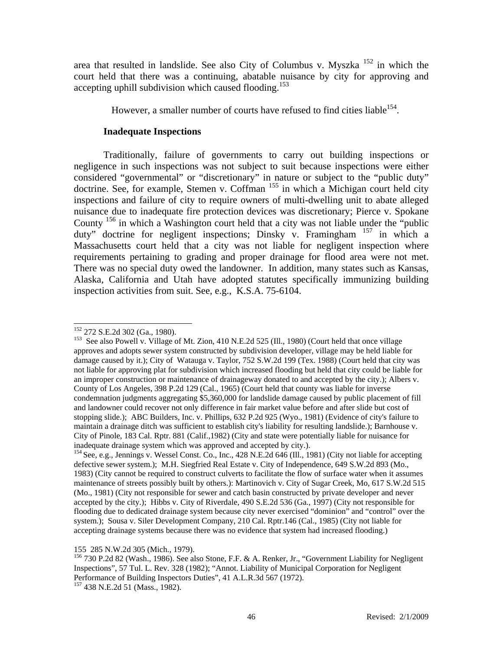area that resulted in landslide. See also City of Columbus v. Myszka 152 in which the court held that there was a continuing, abatable nuisance by city for approving and accepting uphill subdivision which caused flooding.<sup>153</sup>

However, a smaller number of courts have refused to find cities liable  $154$ .

## **Inadequate Inspections**

 Traditionally, failure of governments to carry out building inspections or negligence in such inspections was not subject to suit because inspections were either considered "governmental" or "discretionary" in nature or subject to the "public duty" doctrine. See, for example, Stemen v. Coffman <sup>155</sup> in which a Michigan court held city inspections and failure of city to require owners of multi-dwelling unit to abate alleged nuisance due to inadequate fire protection devices was discretionary; Pierce v. Spokane County  $^{156}$  in which a Washington court held that a city was not liable under the "public" duty" doctrine for negligent inspections; Dinsky v. Framingham <sup>157</sup> in which a Massachusetts court held that a city was not liable for negligent inspection where requirements pertaining to grading and proper drainage for flood area were not met. There was no special duty owed the landowner. In addition, many states such as Kansas, Alaska, California and Utah have adopted statutes specifically immunizing building inspection activities from suit. See, e.g., K.S.A. 75-6104.

155 285 N.W.2d 305 (Mich., 1979).

<sup>&</sup>lt;sup>152</sup> 272 S.E.2d 302 (Ga., 1980).

<sup>&</sup>lt;sup>153</sup> See also Powell v. Village of Mt. Zion, 410 N.E.2d 525 (Ill., 1980) (Court held that once village approves and adopts sewer system constructed by subdivision developer, village may be held liable for damage caused by it.); City of Watauga v. Taylor, 752 S.W.2d 199 (Tex. 1988) (Court held that city was not liable for approving plat for subdivision which increased flooding but held that city could be liable for an improper construction or maintenance of drainageway donated to and accepted by the city.); Albers v. County of Los Angeles, 398 P.2d 129 (Cal., 1965) (Court held that county was liable for inverse condemnation judgments aggregating \$5,360,000 for landslide damage caused by public placement of fill and landowner could recover not only difference in fair market value before and after slide but cost of stopping slide.); ABC Builders, Inc. v. Phillips, 632 P.2d 925 (Wyo., 1981) (Evidence of city's failure to maintain a drainage ditch was sufficient to establish city's liability for resulting landslide.); Barnhouse v. City of Pinole, 183 Cal. Rptr. 881 (Calif.,1982) (City and state were potentially liable for nuisance for inadequate drainage system which was approved and accepted by city.).<br>
<sup>154</sup> See, e.g., Jennings v. Wessel Const. Co., Inc., 428 N.E.2d 646 (Ill., 1981) (City not liable for accepting

defective sewer system.); M.H. Siegfried Real Estate v. City of Independence, 649 S.W.2d 893 (Mo., 1983) (City cannot be required to construct culverts to facilitate the flow of surface water when it assumes maintenance of streets possibly built by others.): Martinovich v. City of Sugar Creek, Mo, 617 S.W.2d 515 (Mo., 1981) (City not responsible for sewer and catch basin constructed by private developer and never accepted by the city.); Hibbs v. City of Riverdale, 490 S.E.2d 536 (Ga., 1997) (City not responsible for flooding due to dedicated drainage system because city never exercised "dominion" and "control" over the system.); Sousa v. Siler Development Company, 210 Cal. Rptr.146 (Cal., 1985) (City not liable for accepting drainage systems because there was no evidence that system had increased flooding.)

<sup>156 730</sup> P.2d 82 (Wash., 1986). See also Stone, F.F. & A. Renker, Jr., "Government Liability for Negligent Inspections", 57 Tul. L. Rev. 328 (1982); "Annot. Liability of Municipal Corporation for Negligent Performance of Building Inspectors Duties", 41 A.L.R.3d 567 (1972).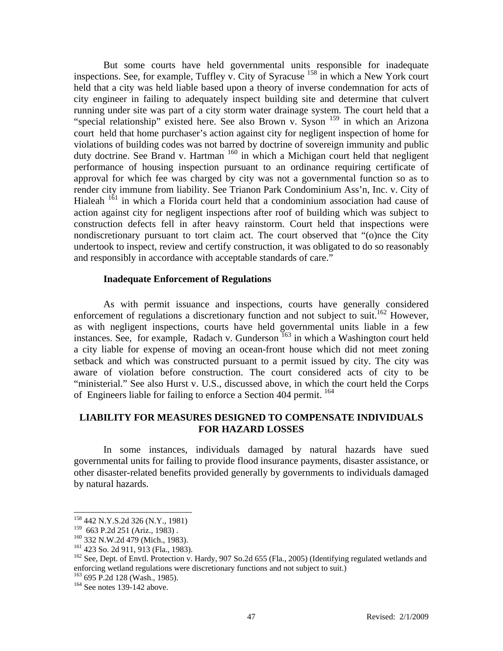But some courts have held governmental units responsible for inadequate inspections. See, for example, Tuffley v. City of Syracuse 158 in which a New York court held that a city was held liable based upon a theory of inverse condemnation for acts of city engineer in failing to adequately inspect building site and determine that culvert running under site was part of a city storm water drainage system. The court held that a "special relationship" existed here. See also Brown v. Syson <sup>159</sup> in which an Arizona court held that home purchaser's action against city for negligent inspection of home for violations of building codes was not barred by doctrine of sovereign immunity and public duty doctrine. See Brand v. Hartman <sup>160</sup> in which a Michigan court held that negligent performance of housing inspection pursuant to an ordinance requiring certificate of approval for which fee was charged by city was not a governmental function so as to render city immune from liability. See Trianon Park Condominium Ass'n, Inc. v. City of Hialeah  $161$  in which a Florida court held that a condominium association had cause of action against city for negligent inspections after roof of building which was subject to construction defects fell in after heavy rainstorm. Court held that inspections were nondiscretionary pursuant to tort claim act. The court observed that "(o)nce the City undertook to inspect, review and certify construction, it was obligated to do so reasonably and responsibly in accordance with acceptable standards of care."

#### **Inadequate Enforcement of Regulations**

 As with permit issuance and inspections, courts have generally considered enforcement of regulations a discretionary function and not subject to suit.<sup>162</sup> However, as with negligent inspections, courts have held governmental units liable in a few instances. See, for example, Radach v. Gunderson<sup>163</sup> in which a Washington court held a city liable for expense of moving an ocean-front house which did not meet zoning setback and which was constructed pursuant to a permit issued by city. The city was aware of violation before construction. The court considered acts of city to be "ministerial." See also Hurst v. U.S., discussed above, in which the court held the Corps of Engineers liable for failing to enforce a Section 404 permit. 164

## **LIABILITY FOR MEASURES DESIGNED TO COMPENSATE INDIVIDUALS FOR HAZARD LOSSES**

 In some instances, individuals damaged by natural hazards have sued governmental units for failing to provide flood insurance payments, disaster assistance, or other disaster-related benefits provided generally by governments to individuals damaged by natural hazards.

 $\overline{\phantom{a}}$ 

 $^{163}_{163}$  695 P.2d 128 (Wash., 1985).<br><sup>164</sup> See notes 139-142 above.

<sup>158 442</sup> N.Y.S.2d 326 (N.Y., 1981)

<sup>159 663</sup> P.2d 251 (Ariz., 1983) .<br>
<sup>160</sup> 332 N.W.2d 479 (Mich., 1983).<br>
<sup>161</sup> 423 So. 2d 911, 913 (Fla., 1983).<br>
<sup>162</sup> See, Dept. of Envtl. Protection v. Hardy, 907 So.2d 655 (Fla., 2005) (Identifying regulated wetlands an enforcing wetland regulations were discretionary functions and not subject to suit.)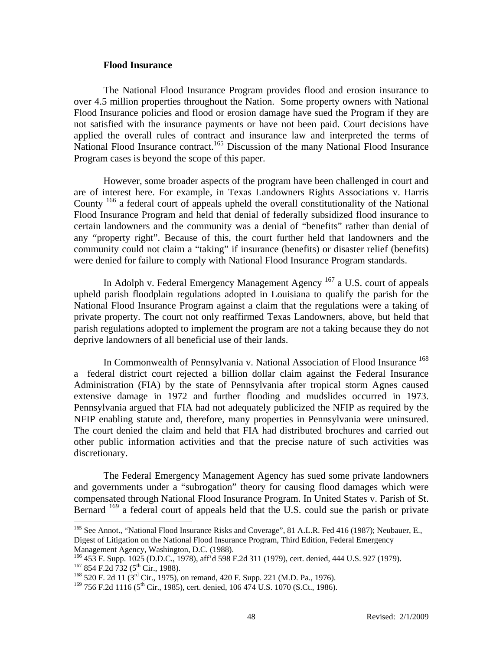#### **Flood Insurance**

 The National Flood Insurance Program provides flood and erosion insurance to over 4.5 million properties throughout the Nation. Some property owners with National Flood Insurance policies and flood or erosion damage have sued the Program if they are not satisfied with the insurance payments or have not been paid. Court decisions have applied the overall rules of contract and insurance law and interpreted the terms of National Flood Insurance contract.<sup>165</sup> Discussion of the many National Flood Insurance Program cases is beyond the scope of this paper.

 However, some broader aspects of the program have been challenged in court and are of interest here. For example, in Texas Landowners Rights Associations v. Harris County<sup>166</sup> a federal court of appeals upheld the overall constitutionality of the National Flood Insurance Program and held that denial of federally subsidized flood insurance to certain landowners and the community was a denial of "benefits" rather than denial of any "property right". Because of this, the court further held that landowners and the community could not claim a "taking" if insurance (benefits) or disaster relief (benefits) were denied for failure to comply with National Flood Insurance Program standards.

In Adolph v. Federal Emergency Management Agency <sup>167</sup> a U.S. court of appeals upheld parish floodplain regulations adopted in Louisiana to qualify the parish for the National Flood Insurance Program against a claim that the regulations were a taking of private property. The court not only reaffirmed Texas Landowners, above, but held that parish regulations adopted to implement the program are not a taking because they do not deprive landowners of all beneficial use of their lands.

In Commonwealth of Pennsylvania v. National Association of Flood Insurance <sup>168</sup> a federal district court rejected a billion dollar claim against the Federal Insurance Administration (FIA) by the state of Pennsylvania after tropical storm Agnes caused extensive damage in 1972 and further flooding and mudslides occurred in 1973. Pennsylvania argued that FIA had not adequately publicized the NFIP as required by the NFIP enabling statute and, therefore, many properties in Pennsylvania were uninsured. The court denied the claim and held that FIA had distributed brochures and carried out other public information activities and that the precise nature of such activities was discretionary.

 The Federal Emergency Management Agency has sued some private landowners and governments under a "subrogation" theory for causing flood damages which were compensated through National Flood Insurance Program. In United States v. Parish of St. Bernard <sup>169</sup> a federal court of appeals held that the U.S. could sue the parish or private

 $\overline{a}$ 

<sup>&</sup>lt;sup>165</sup> See Annot., "National Flood Insurance Risks and Coverage", 81 A.L.R. Fed 416 (1987); Neubauer, E., Digest of Litigation on the National Flood Insurance Program, Third Edition, Federal Emergency

Management Agency, Washington, D.C. (1988).<br><sup>166</sup> 453 F. Supp. 1025 (D.D.C., 1978), aff'd 598 F.2d 311 (1979), cert. denied, 444 U.S. 927 (1979). 167 854 F. 2d 732 (5<sup>th</sup> Cir., 1988).<br><sup>168</sup> 520 F. 2d 11 (3<sup>rd</sup> Cir., 1975), on remand, 420 F. Supp. 221 (M.D. Pa., 1976).

 $169$  756 F.2d 1116 (5<sup>th</sup> Cir., 1985), cert. denied, 106 474 U.S. 1070 (S.Ct., 1986).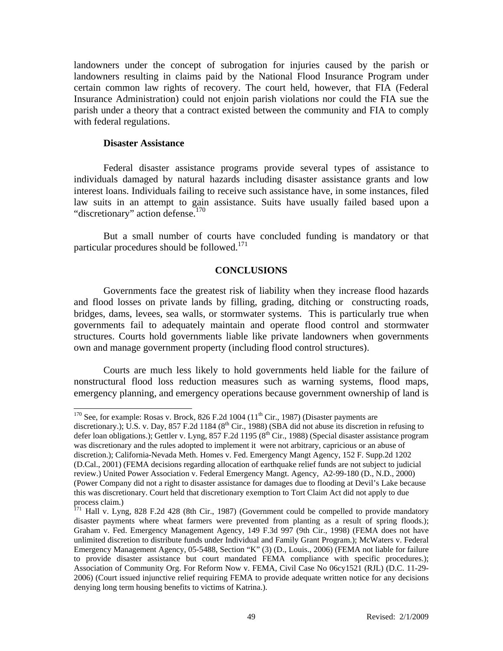landowners under the concept of subrogation for injuries caused by the parish or landowners resulting in claims paid by the National Flood Insurance Program under certain common law rights of recovery. The court held, however, that FIA (Federal Insurance Administration) could not enjoin parish violations nor could the FIA sue the parish under a theory that a contract existed between the community and FIA to comply with federal regulations.

#### **Disaster Assistance**

 $\overline{a}$ 

 Federal disaster assistance programs provide several types of assistance to individuals damaged by natural hazards including disaster assistance grants and low interest loans. Individuals failing to receive such assistance have, in some instances, filed law suits in an attempt to gain assistance. Suits have usually failed based upon a "discretionary" action defense.<sup>170</sup>

 But a small number of courts have concluded funding is mandatory or that particular procedures should be followed.<sup>171</sup>

#### **CONCLUSIONS**

Governments face the greatest risk of liability when they increase flood hazards and flood losses on private lands by filling, grading, ditching or constructing roads, bridges, dams, levees, sea walls, or stormwater systems. This is particularly true when governments fail to adequately maintain and operate flood control and stormwater structures. Courts hold governments liable like private landowners when governments own and manage government property (including flood control structures).

Courts are much less likely to hold governments held liable for the failure of nonstructural flood loss reduction measures such as warning systems, flood maps, emergency planning, and emergency operations because government ownership of land is

<sup>&</sup>lt;sup>170</sup> See, for example: Rosas v. Brock, 826 F.2d 1004 ( $11<sup>th</sup> Cir.$ , 1987) (Disaster payments are

discretionary.); U.S. v. Day, 857 F.2d 1184 ( $8<sup>th</sup>$  Cir., 1988) (SBA did not abuse its discretion in refusing to defer loan obligations.); Gettler v. Lyng, 857 F.2d 1195 ( $8<sup>th</sup>$  Cir., 1988) (Special disaster assistance program was discretionary and the rules adopted to implement it were not arbitrary, capricious or an abuse of discretion.); California-Nevada Meth. Homes v. Fed. Emergency Mangt Agency, 152 F. Supp.2d 1202 (D.Cal., 2001) (FEMA decisions regarding allocation of earthquake relief funds are not subject to judicial review.) United Power Association v. Federal Emergency Mangt. Agency, A2-99-180 (D., N.D., 2000) (Power Company did not a right to disaster assistance for damages due to flooding at Devil's Lake because this was discretionary. Court held that discretionary exemption to Tort Claim Act did not apply to due process claim.)

 $171$  Hall v. Lyng, 828 F.2d 428 (8th Cir., 1987) (Government could be compelled to provide mandatory disaster payments where wheat farmers were prevented from planting as a result of spring floods.); Graham v. Fed. Emergency Management Agency, 149 F.3d 997 (9th Cir., 1998) (FEMA does not have unlimited discretion to distribute funds under Individual and Family Grant Program.); McWaters v. Federal Emergency Management Agency, 05-5488, Section "K" (3) (D., Louis., 2006) (FEMA not liable for failure to provide disaster assistance but court mandated FEMA compliance with specific procedures.); Association of Community Org. For Reform Now v. FEMA, Civil Case No 06cy1521 (RJL) (D.C. 11-29- 2006) (Court issued injunctive relief requiring FEMA to provide adequate written notice for any decisions denying long term housing benefits to victims of Katrina.).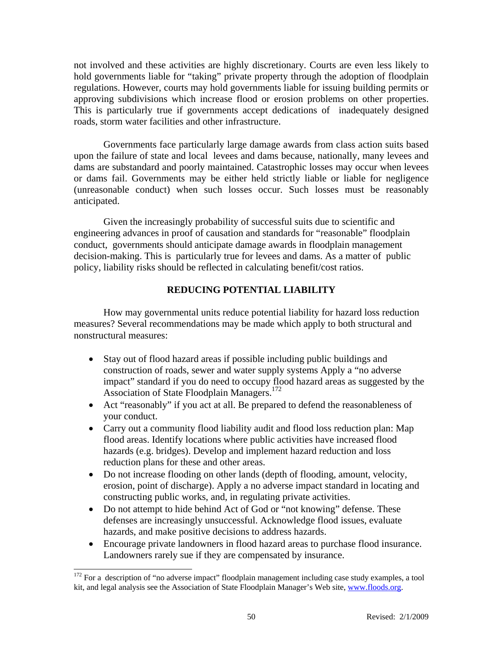not involved and these activities are highly discretionary. Courts are even less likely to hold governments liable for "taking" private property through the adoption of floodplain regulations. However, courts may hold governments liable for issuing building permits or approving subdivisions which increase flood or erosion problems on other properties. This is particularly true if governments accept dedications of inadequately designed roads, storm water facilities and other infrastructure.

Governments face particularly large damage awards from class action suits based upon the failure of state and local levees and dams because, nationally, many levees and dams are substandard and poorly maintained. Catastrophic losses may occur when levees or dams fail. Governments may be either held strictly liable or liable for negligence (unreasonable conduct) when such losses occur. Such losses must be reasonably anticipated.

Given the increasingly probability of successful suits due to scientific and engineering advances in proof of causation and standards for "reasonable" floodplain conduct, governments should anticipate damage awards in floodplain management decision-making. This is particularly true for levees and dams. As a matter of public policy, liability risks should be reflected in calculating benefit/cost ratios.

## **REDUCING POTENTIAL LIABILITY**

How may governmental units reduce potential liability for hazard loss reduction measures? Several recommendations may be made which apply to both structural and nonstructural measures:

- Stay out of flood hazard areas if possible including public buildings and construction of roads, sewer and water supply systems Apply a "no adverse impact" standard if you do need to occupy flood hazard areas as suggested by the Association of State Floodplain Managers.<sup>172</sup>
- Act "reasonably" if you act at all. Be prepared to defend the reasonableness of your conduct.
- Carry out a community flood liability audit and flood loss reduction plan: Map flood areas. Identify locations where public activities have increased flood hazards (e.g. bridges). Develop and implement hazard reduction and loss reduction plans for these and other areas.
- Do not increase flooding on other lands (depth of flooding, amount, velocity, erosion, point of discharge). Apply a no adverse impact standard in locating and constructing public works, and, in regulating private activities.
- Do not attempt to hide behind Act of God or "not knowing" defense. These defenses are increasingly unsuccessful. Acknowledge flood issues, evaluate hazards, and make positive decisions to address hazards.
- Encourage private landowners in flood hazard areas to purchase flood insurance. Landowners rarely sue if they are compensated by insurance.

 $\overline{a}$ 

 $172$  For a description of "no adverse impact" floodplain management including case study examples, a tool kit, and legal analysis see the Association of State Floodplain Manager's Web site, www.floods.org.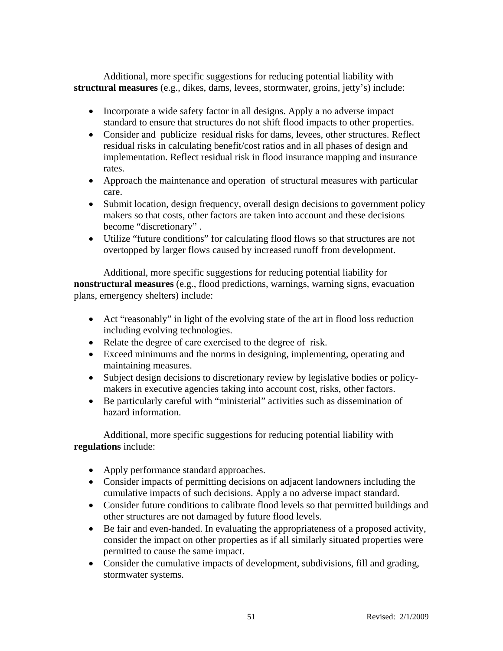Additional, more specific suggestions for reducing potential liability with **structural measures** (e.g., dikes, dams, levees, stormwater, groins, jetty's) include:

- Incorporate a wide safety factor in all designs. Apply a no adverse impact standard to ensure that structures do not shift flood impacts to other properties.
- Consider and publicize residual risks for dams, levees, other structures. Reflect residual risks in calculating benefit/cost ratios and in all phases of design and implementation. Reflect residual risk in flood insurance mapping and insurance rates.
- Approach the maintenance and operation of structural measures with particular care.
- Submit location, design frequency, overall design decisions to government policy makers so that costs, other factors are taken into account and these decisions become "discretionary" .
- Utilize "future conditions" for calculating flood flows so that structures are not overtopped by larger flows caused by increased runoff from development.

Additional, more specific suggestions for reducing potential liability for **nonstructural measures** (e.g., flood predictions, warnings, warning signs, evacuation plans, emergency shelters) include:

- Act "reasonably" in light of the evolving state of the art in flood loss reduction including evolving technologies.
- Relate the degree of care exercised to the degree of risk.
- Exceed minimums and the norms in designing, implementing, operating and maintaining measures.
- Subject design decisions to discretionary review by legislative bodies or policymakers in executive agencies taking into account cost, risks, other factors.
- Be particularly careful with "ministerial" activities such as dissemination of hazard information.

Additional, more specific suggestions for reducing potential liability with **regulations** include:

- Apply performance standard approaches.
- Consider impacts of permitting decisions on adjacent landowners including the cumulative impacts of such decisions. Apply a no adverse impact standard.
- Consider future conditions to calibrate flood levels so that permitted buildings and other structures are not damaged by future flood levels.
- Be fair and even-handed. In evaluating the appropriateness of a proposed activity, consider the impact on other properties as if all similarly situated properties were permitted to cause the same impact.
- Consider the cumulative impacts of development, subdivisions, fill and grading, stormwater systems.